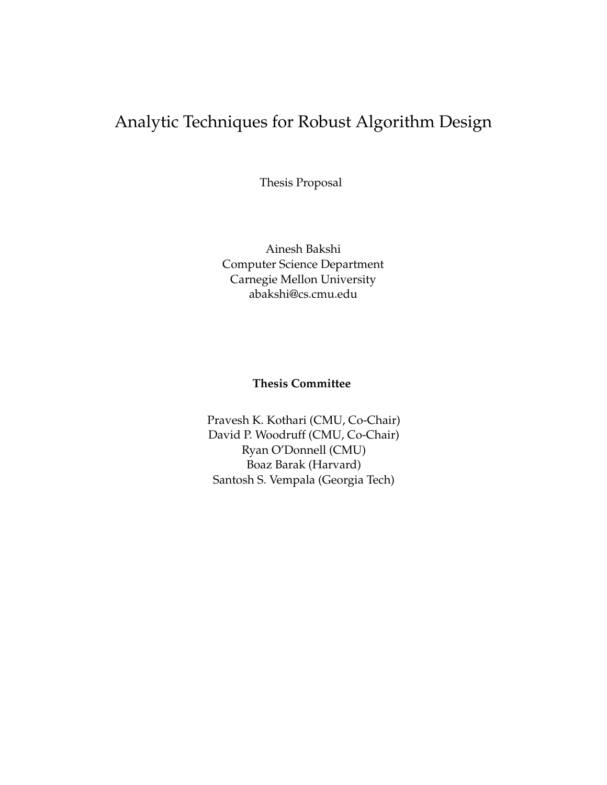# <span id="page-0-0"></span>Analytic Techniques for Robust Algorithm Design

Thesis Proposal

Ainesh Bakshi Computer Science Department Carnegie Mellon University abakshi@cs.cmu.edu

### **Thesis Committee**

Pravesh K. Kothari (CMU, Co-Chair) David P. Woodruff (CMU, Co-Chair) Ryan O'Donnell (CMU) Boaz Barak (Harvard) Santosh S. Vempala (Georgia Tech)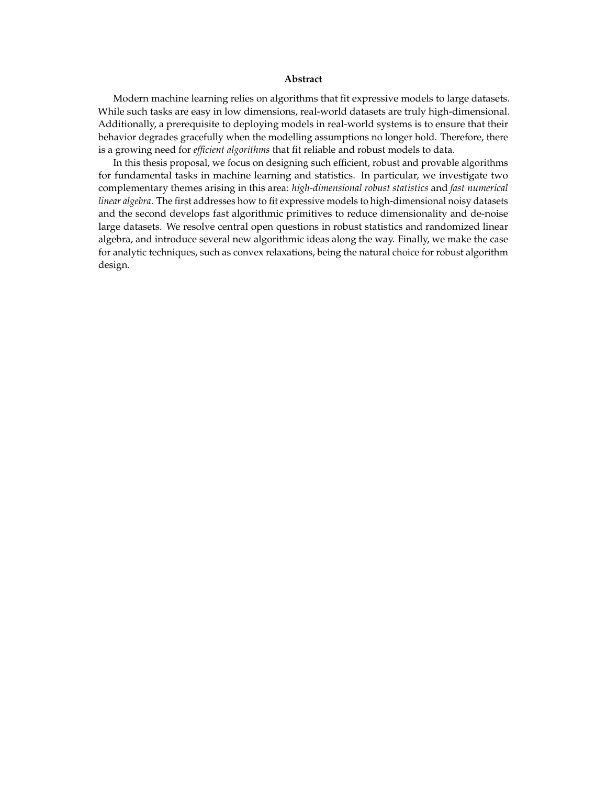#### **Abstract**

<span id="page-1-0"></span>Modern machine learning relies on algorithms that fit expressive models to large datasets. While such tasks are easy in low dimensions, real-world datasets are truly high-dimensional. Additionally, a prerequisite to deploying models in real-world systems is to ensure that their behavior degrades gracefully when the modelling assumptions no longer hold. Therefore, there is a growing need for *efficient algorithms* that fit reliable and robust models to data.

In this thesis proposal, we focus on designing such efficient, robust and provable algorithms for fundamental tasks in machine learning and statistics. In particular, we investigate two complementary themes arising in this area: *high-dimensional robust statistics* and *fast numerical linear algebra*. The first addresses how to fit expressive models to high-dimensional noisy datasets and the second develops fast algorithmic primitives to reduce dimensionality and de-noise large datasets. We resolve central open questions in robust statistics and randomized linear algebra, and introduce several new algorithmic ideas along the way. Finally, we make the case for analytic techniques, such as convex relaxations, being the natural choice for robust algorithm design.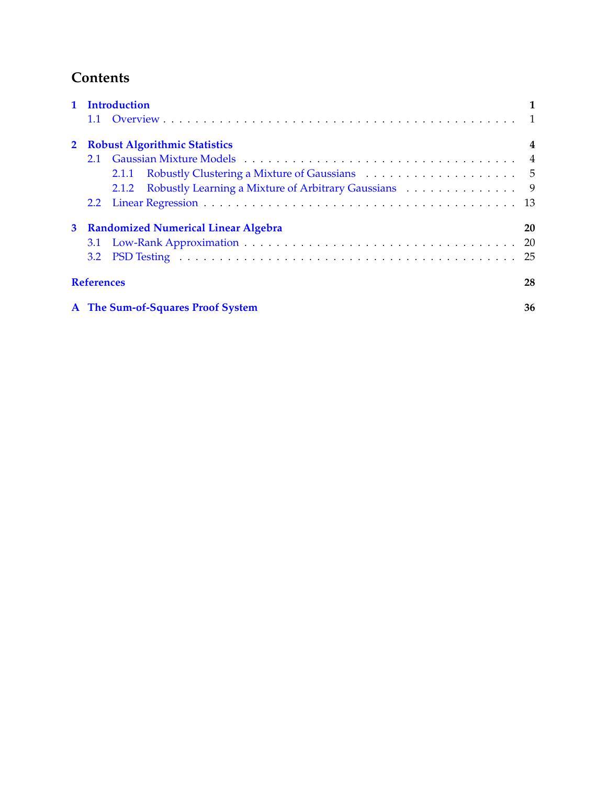## <span id="page-2-0"></span>**Contents**

|             | 1 Introduction                                             |    |  |  |  |  |  |  |
|-------------|------------------------------------------------------------|----|--|--|--|--|--|--|
|             |                                                            |    |  |  |  |  |  |  |
|             | 2 Robust Algorithmic Statistics<br>4                       |    |  |  |  |  |  |  |
|             |                                                            |    |  |  |  |  |  |  |
|             |                                                            |    |  |  |  |  |  |  |
|             | 2.1.2 Robustly Learning a Mixture of Arbitrary Gaussians 9 |    |  |  |  |  |  |  |
|             |                                                            |    |  |  |  |  |  |  |
| $3^{\circ}$ | <b>Randomized Numerical Linear Algebra</b>                 | 20 |  |  |  |  |  |  |
|             |                                                            |    |  |  |  |  |  |  |
|             |                                                            |    |  |  |  |  |  |  |
|             | <b>References</b>                                          |    |  |  |  |  |  |  |
|             | A The Sum-of-Squares Proof System                          | 36 |  |  |  |  |  |  |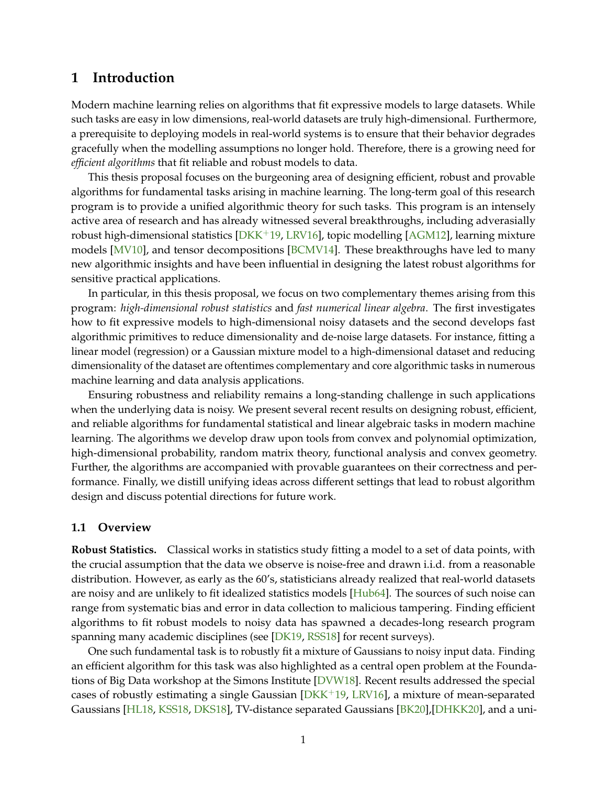#### <span id="page-3-0"></span>**1 Introduction**

Modern machine learning relies on algorithms that fit expressive models to large datasets. While such tasks are easy in low dimensions, real-world datasets are truly high-dimensional. Furthermore, a prerequisite to deploying models in real-world systems is to ensure that their behavior degrades gracefully when the modelling assumptions no longer hold. Therefore, there is a growing need for *efficient algorithms* that fit reliable and robust models to data.

This thesis proposal focuses on the burgeoning area of designing efficient, robust and provable algorithms for fundamental tasks arising in machine learning. The long-term goal of this research program is to provide a unified algorithmic theory for such tasks. This program is an intensely active area of research and has already witnessed several breakthroughs, including adverasially robust high-dimensional statistics [\[DKK](#page-32-0)<sup>+</sup>19, [LRV16\]](#page-35-0), topic modelling [\[AGM12\]](#page-30-1), learning mixture models [\[MV10\]](#page-36-0), and tensor decompositions [\[BCMV14\]](#page-30-2). These breakthroughs have led to many new algorithmic insights and have been influential in designing the latest robust algorithms for sensitive practical applications.

In particular, in this thesis proposal, we focus on two complementary themes arising from this program: *high-dimensional robust statistics* and *fast numerical linear algebra*. The first investigates how to fit expressive models to high-dimensional noisy datasets and the second develops fast algorithmic primitives to reduce dimensionality and de-noise large datasets. For instance, fitting a linear model (regression) or a Gaussian mixture model to a high-dimensional dataset and reducing dimensionality of the dataset are oftentimes complementary and core algorithmic tasks in numerous machine learning and data analysis applications.

Ensuring robustness and reliability remains a long-standing challenge in such applications when the underlying data is noisy. We present several recent results on designing robust, efficient, and reliable algorithms for fundamental statistical and linear algebraic tasks in modern machine learning. The algorithms we develop draw upon tools from convex and polynomial optimization, high-dimensional probability, random matrix theory, functional analysis and convex geometry. Further, the algorithms are accompanied with provable guarantees on their correctness and performance. Finally, we distill unifying ideas across different settings that lead to robust algorithm design and discuss potential directions for future work.

#### <span id="page-3-1"></span>**1.1 Overview**

**Robust Statistics.** Classical works in statistics study fitting a model to a set of data points, with the crucial assumption that the data we observe is noise-free and drawn i.i.d. from a reasonable distribution. However, as early as the 60's, statisticians already realized that real-world datasets are noisy and are unlikely to fit idealized statistics models [\[Hub64\]](#page-34-0). The sources of such noise can range from systematic bias and error in data collection to malicious tampering. Finding efficient algorithms to fit robust models to noisy data has spawned a decades-long research program spanning many academic disciplines (see [\[DK19,](#page-32-1) [RSS18\]](#page-36-1) for recent surveys).

One such fundamental task is to robustly fit a mixture of Gaussians to noisy input data. Finding an efficient algorithm for this task was also highlighted as a central open problem at the Foundations of Big Data workshop at the Simons Institute [\[DVW18\]](#page-33-0). Recent results addressed the special cases of robustly estimating a single Gaussian  $[DKK<sup>+</sup>19, LRV16]$  $[DKK<sup>+</sup>19, LRV16]$  $[DKK<sup>+</sup>19, LRV16]$ , a mixture of mean-separated Gaussians [\[HL18,](#page-34-1) [KSS18,](#page-35-1) [DKS18\]](#page-33-1), TV-distance separated Gaussians [\[BK20\]](#page-31-0),[\[DHKK20\]](#page-32-2), and a uni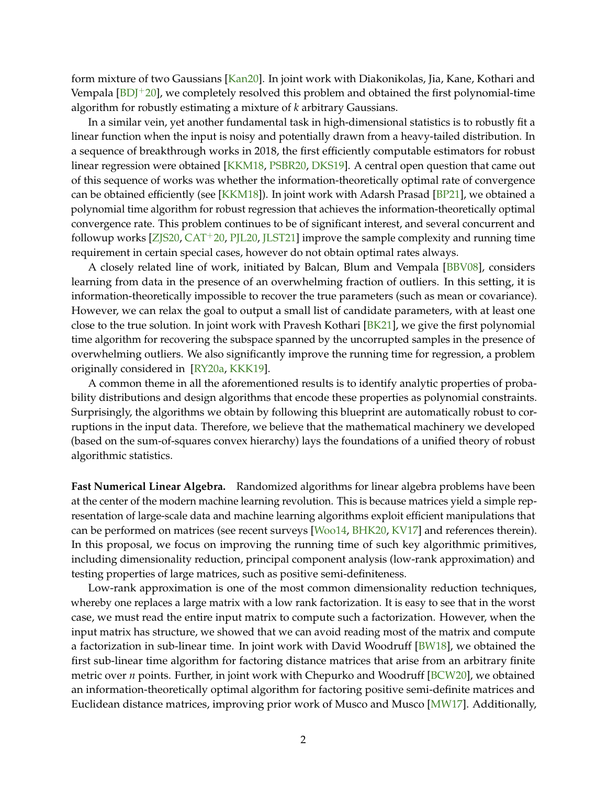form mixture of two Gaussians [\[Kan20\]](#page-34-2). In joint work with Diakonikolas, Jia, Kane, Kothari and Vempala  $[BD]^+20$ , we completely resolved this problem and obtained the first polynomial-time algorithm for robustly estimating a mixture of *k* arbitrary Gaussians.

In a similar vein, yet another fundamental task in high-dimensional statistics is to robustly fit a linear function when the input is noisy and potentially drawn from a heavy-tailed distribution. In a sequence of breakthrough works in 2018, the first efficiently computable estimators for robust linear regression were obtained [\[KKM18,](#page-34-3) [PSBR20,](#page-36-2) [DKS19\]](#page-33-2). A central open question that came out of this sequence of works was whether the information-theoretically optimal rate of convergence can be obtained efficiently (see [\[KKM18\]](#page-34-3)). In joint work with Adarsh Prasad [\[BP21\]](#page-31-2), we obtained a polynomial time algorithm for robust regression that achieves the information-theoretically optimal convergence rate. This problem continues to be of significant interest, and several concurrent and followup works [\[ZJS20,](#page-38-1) [CAT](#page-31-3)+20, [PJL20,](#page-36-3) [JLST21\]](#page-34-4) improve the sample complexity and running time requirement in certain special cases, however do not obtain optimal rates always.

A closely related line of work, initiated by Balcan, Blum and Vempala [\[BBV08\]](#page-30-3), considers learning from data in the presence of an overwhelming fraction of outliers. In this setting, it is information-theoretically impossible to recover the true parameters (such as mean or covariance). However, we can relax the goal to output a small list of candidate parameters, with at least one close to the true solution. In joint work with Pravesh Kothari [\[BK21\]](#page-31-4), we give the first polynomial time algorithm for recovering the subspace spanned by the uncorrupted samples in the presence of overwhelming outliers. We also significantly improve the running time for regression, a problem originally considered in [\[RY20a,](#page-37-0) [KKK19\]](#page-34-5).

A common theme in all the aforementioned results is to identify analytic properties of probability distributions and design algorithms that encode these properties as polynomial constraints. Surprisingly, the algorithms we obtain by following this blueprint are automatically robust to corruptions in the input data. Therefore, we believe that the mathematical machinery we developed (based on the sum-of-squares convex hierarchy) lays the foundations of a unified theory of robust algorithmic statistics.

**Fast Numerical Linear Algebra.** Randomized algorithms for linear algebra problems have been at the center of the modern machine learning revolution. This is because matrices yield a simple representation of large-scale data and machine learning algorithms exploit efficient manipulations that can be performed on matrices (see recent surveys [\[Woo14,](#page-37-1) [BHK20,](#page-31-5) [KV17\]](#page-35-2) and references therein). In this proposal, we focus on improving the running time of such key algorithmic primitives, including dimensionality reduction, principal component analysis (low-rank approximation) and testing properties of large matrices, such as positive semi-definiteness.

Low-rank approximation is one of the most common dimensionality reduction techniques, whereby one replaces a large matrix with a low rank factorization. It is easy to see that in the worst case, we must read the entire input matrix to compute such a factorization. However, when the input matrix has structure, we showed that we can avoid reading most of the matrix and compute a factorization in sub-linear time. In joint work with David Woodruff [\[BW18\]](#page-31-6), we obtained the first sub-linear time algorithm for factoring distance matrices that arise from an arbitrary finite metric over *n* points. Further, in joint work with Chepurko and Woodruff [\[BCW20\]](#page-30-4), we obtained an information-theoretically optimal algorithm for factoring positive semi-definite matrices and Euclidean distance matrices, improving prior work of Musco and Musco [\[MW17\]](#page-36-4). Additionally,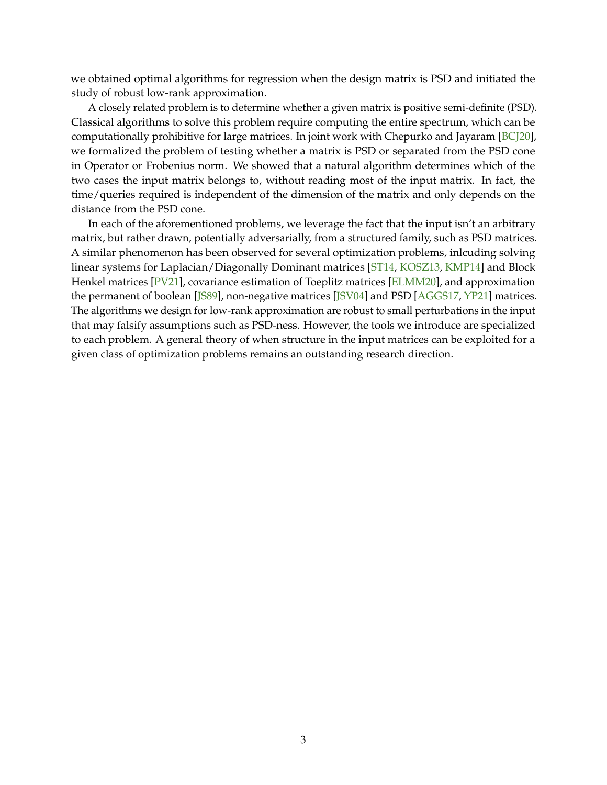we obtained optimal algorithms for regression when the design matrix is PSD and initiated the study of robust low-rank approximation.

A closely related problem is to determine whether a given matrix is positive semi-definite (PSD). Classical algorithms to solve this problem require computing the entire spectrum, which can be computationally prohibitive for large matrices. In joint work with Chepurko and Jayaram [\[BCJ20\]](#page-30-5), we formalized the problem of testing whether a matrix is PSD or separated from the PSD cone in Operator or Frobenius norm. We showed that a natural algorithm determines which of the two cases the input matrix belongs to, without reading most of the input matrix. In fact, the time/queries required is independent of the dimension of the matrix and only depends on the distance from the PSD cone.

In each of the aforementioned problems, we leverage the fact that the input isn't an arbitrary matrix, but rather drawn, potentially adversarially, from a structured family, such as PSD matrices. A similar phenomenon has been observed for several optimization problems, inlcuding solving linear systems for Laplacian/Diagonally Dominant matrices [\[ST14,](#page-37-2) [KOSZ13,](#page-35-3) [KMP14\]](#page-34-6) and Block Henkel matrices [\[PV21\]](#page-36-5), covariance estimation of Toeplitz matrices [\[ELMM20\]](#page-33-3), and approximation the permanent of boolean [\[JS89\]](#page-34-7), non-negative matrices [\[JSV04\]](#page-34-8) and PSD [\[AGGS17,](#page-30-6) [YP21\]](#page-38-2) matrices. The algorithms we design for low-rank approximation are robust to small perturbations in the input that may falsify assumptions such as PSD-ness. However, the tools we introduce are specialized to each problem. A general theory of when structure in the input matrices can be exploited for a given class of optimization problems remains an outstanding research direction.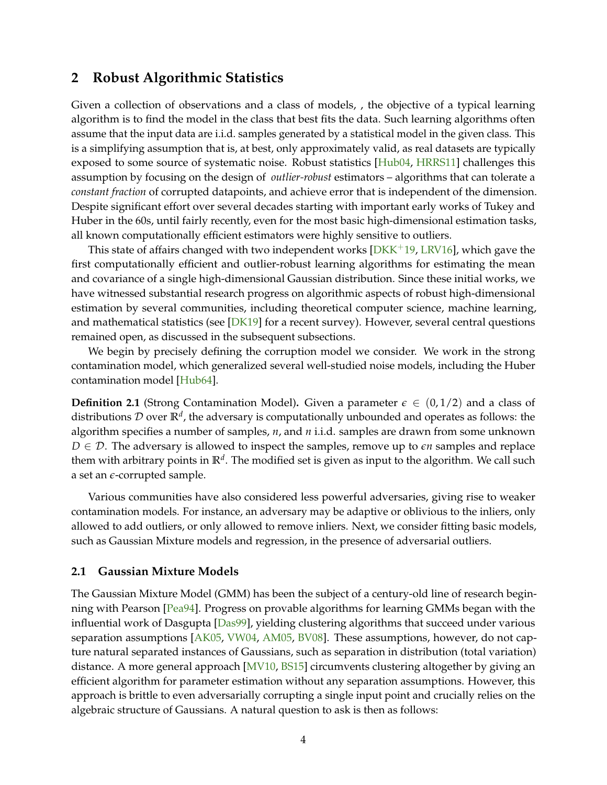## <span id="page-6-2"></span><span id="page-6-0"></span>**2 Robust Algorithmic Statistics**

Given a collection of observations and a class of models, , the objective of a typical learning algorithm is to find the model in the class that best fits the data. Such learning algorithms often assume that the input data are i.i.d. samples generated by a statistical model in the given class. This is a simplifying assumption that is, at best, only approximately valid, as real datasets are typically exposed to some source of systematic noise. Robust statistics [\[Hub04,](#page-34-9) [HRRS11\]](#page-34-10) challenges this assumption by focusing on the design of *outlier-robust* estimators – algorithms that can tolerate a *constant fraction* of corrupted datapoints, and achieve error that is independent of the dimension. Despite significant effort over several decades starting with important early works of Tukey and Huber in the 60s, until fairly recently, even for the most basic high-dimensional estimation tasks, all known computationally efficient estimators were highly sensitive to outliers.

This state of affairs changed with two independent works [ $DKK<sup>+</sup>19$ , [LRV16\]](#page-35-0), which gave the first computationally efficient and outlier-robust learning algorithms for estimating the mean and covariance of a single high-dimensional Gaussian distribution. Since these initial works, we have witnessed substantial research progress on algorithmic aspects of robust high-dimensional estimation by several communities, including theoretical computer science, machine learning, and mathematical statistics (see [\[DK19\]](#page-32-1) for a recent survey). However, several central questions remained open, as discussed in the subsequent subsections.

We begin by precisely defining the corruption model we consider. We work in the strong contamination model, which generalized several well-studied noise models, including the Huber contamination model [\[Hub64\]](#page-34-0).

**Definition 2.1** (Strong Contamination Model). Given a parameter  $\epsilon \in (0, 1/2)$  and a class of distributions D over **R***<sup>d</sup>* , the adversary is computationally unbounded and operates as follows: the algorithm specifies a number of samples, *n*, and *n* i.i.d. samples are drawn from some unknown  $D \in \mathcal{D}$ . The adversary is allowed to inspect the samples, remove up to  $\epsilon n$  samples and replace them with arbitrary points in **R***<sup>d</sup>* . The modified set is given as input to the algorithm. We call such a set an *e*-corrupted sample.

Various communities have also considered less powerful adversaries, giving rise to weaker contamination models. For instance, an adversary may be adaptive or oblivious to the inliers, only allowed to add outliers, or only allowed to remove inliers. Next, we consider fitting basic models, such as Gaussian Mixture models and regression, in the presence of adversarial outliers.

#### <span id="page-6-1"></span>**2.1 Gaussian Mixture Models**

The Gaussian Mixture Model (GMM) has been the subject of a century-old line of research beginning with Pearson [\[Pea94\]](#page-36-6). Progress on provable algorithms for learning GMMs began with the influential work of Dasgupta [\[Das99\]](#page-32-3), yielding clustering algorithms that succeed under various separation assumptions [\[AK05,](#page-30-7) [VW04,](#page-37-3) [AM05,](#page-30-8) [BV08\]](#page-31-7). These assumptions, however, do not capture natural separated instances of Gaussians, such as separation in distribution (total variation) distance. A more general approach [\[MV10,](#page-36-0) [BS15\]](#page-31-8) circumvents clustering altogether by giving an efficient algorithm for parameter estimation without any separation assumptions. However, this approach is brittle to even adversarially corrupting a single input point and crucially relies on the algebraic structure of Gaussians. A natural question to ask is then as follows: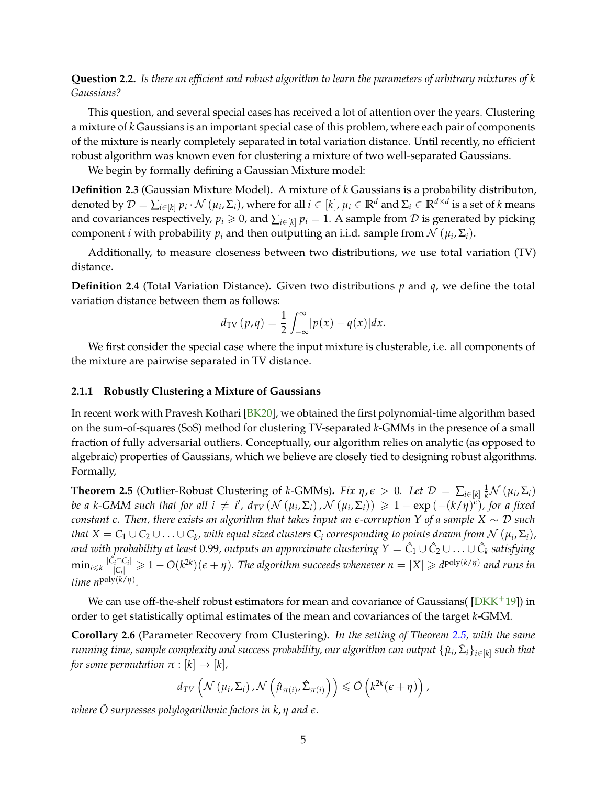<span id="page-7-3"></span><span id="page-7-2"></span>**Question 2.2.** *Is there an efficient and robust algorithm to learn the parameters of arbitrary mixtures of k Gaussians?*

This question, and several special cases has received a lot of attention over the years. Clustering a mixture of *k* Gaussians is an important special case of this problem, where each pair of components of the mixture is nearly completely separated in total variation distance. Until recently, no efficient robust algorithm was known even for clustering a mixture of two well-separated Gaussians.

We begin by formally defining a Gaussian Mixture model:

**Definition 2.3** (Gaussian Mixture Model)**.** A mixture of *k* Gaussians is a probability distributon, denoted by  $\mathcal{D}=\sum_{i\in[k]}\overline{p}_i\cdot\mathcal{N}\left(\mu_i,\Sigma_i\right)$ , where for all  $i\in[k]$ ,  $\mu_i\in\mathbb{R}^d$  and  $\Sigma_i\in\mathbb{R}^{d\times d}$  is a set of  $k$  means and covariances respectively,  $p_i \geq 0$ , and  $\sum_{i \in [k]} p_i = 1$ . A sample from  $D$  is generated by picking component *i* with probability  $p_i$  and then outputting an i.i.d. sample from  $\mathcal{N}$   $(\mu_i, \Sigma_i)$ .

Additionally, to measure closeness between two distributions, we use total variation (TV) distance.

**Definition 2.4** (Total Variation Distance). Given two distributions  $p$  and  $q$ , we define the total variation distance between them as follows:

$$
d_{\text{TV}}\left(p, q\right) = \frac{1}{2} \int_{-\infty}^{\infty} |p(x) - q(x)| dx.
$$

We first consider the special case where the input mixture is clusterable, i.e. all components of the mixture are pairwise separated in TV distance.

#### <span id="page-7-0"></span>**2.1.1 Robustly Clustering a Mixture of Gaussians**

In recent work with Pravesh Kothari [\[BK20\]](#page-31-0), we obtained the first polynomial-time algorithm based on the sum-of-squares (SoS) method for clustering TV-separated *k*-GMMs in the presence of a small fraction of fully adversarial outliers. Conceptually, our algorithm relies on analytic (as opposed to algebraic) properties of Gaussians, which we believe are closely tied to designing robust algorithms. Formally,

<span id="page-7-1"></span>**Theorem 2.5** (Outlier-Robust Clustering of *k*-GMMs). *Fix*  $\eta$ ,  $\epsilon > 0$ . Let  $\mathcal{D} = \sum_{i \in [k]} \frac{1}{k} \mathcal{N}(\mu_i, \Sigma_i)$ *be a k*-GMM such that for all  $i \neq i'$ ,  $d_{TV}(N(\mu_i, \Sigma_i)$ ,  $N(\mu_i, \Sigma_i)) \geq 1 - \exp(-(k/\eta)^c)$ , for a fixed *constant c. Then, there exists an algorithm that takes input an e-corruption Y of a sample X* ∼ D *such that*  $X = C_1 \cup C_2 \cup \ldots \cup C_k$ , with equal sized clusters  $C_i$  corresponding to points drawn from  $\mathcal{N}\left(\mu_i, \Sigma_i\right)$ , *and with probability at least* 0.99*, outputs an approximate clustering Y* = *C*ˆ <sup>1</sup> ∪ *C*ˆ <sup>2</sup> ∪ . . . ∪ *C*ˆ *<sup>k</sup> satisfying*  $\min_{i\leqslant k} \frac{|\hat{\mathcal{C}}_i\cap \mathcal{C}_i|}{|\mathcal{C}_i|}$  $\frac{d^2f(G_i)}{|G_i|} \geq 1 - O(k^{2k})(\epsilon + \eta)$ . The algorithm succeeds whenever  $n = |X| \geq d^{\text{poly}(k/\eta)}$  and runs in *time n*poly(*k*/*η*) *.*

We can use off-the-shelf robust estimators for mean and covariance of Gaussians ( $[DKK^+19]$  $[DKK^+19]$ ) in order to get statistically optimal estimates of the mean and covariances of the target *k*-GMM.

**Corollary 2.6** (Parameter Recovery from Clustering)**.** *In the setting of Theorem [2.5,](#page-7-1) with the same*  $r$ unning time, sample complexity and success probability, our algorithm can output  $\{\hat\mu_i,\hat\Sigma_i\}_{i\in[k]}$  such that *for some permutation*  $\pi : [k] \rightarrow [k]$ ,

$$
d_{TV}\left(\mathcal{N}\left(\mu_i,\Sigma_i\right),\mathcal{N}\left(\hat{\mu}_{\pi(i)},\hat{\Sigma}_{\pi(i)}\right)\right)\leq \tilde{O}\left(k^{2k}(\epsilon+\eta)\right),\,
$$

*where*  $\ddot{\text{O}}$  *surpresses polylogarithmic factors in k,*  $\eta$  *and*  $\epsilon$ *.*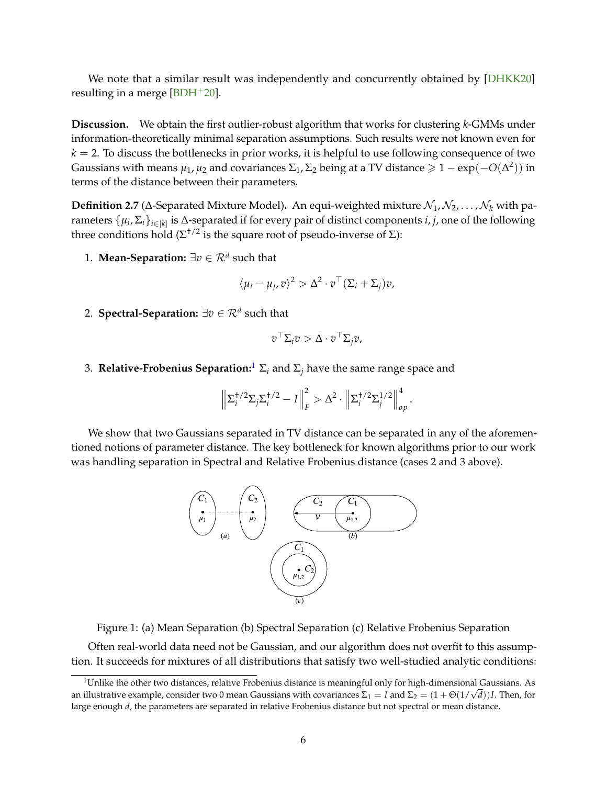<span id="page-8-2"></span>We note that a similar result was independently and concurrently obtained by [\[DHKK20\]](#page-32-2) resulting in a merge [\[BDH](#page-31-9) $+20$ ].

**Discussion.** We obtain the first outlier-robust algorithm that works for clustering *k*-GMMs under information-theoretically minimal separation assumptions. Such results were not known even for  $k = 2$ . To discuss the bottlenecks in prior works, it is helpful to use following consequence of two Gaussians with means  $\mu_1,\mu_2$  and covariances  $\Sigma_1$ ,  $\Sigma_2$  being at a TV distance  $\geqslant1-\exp(-O(\Delta^2))$  in terms of the distance between their parameters.

<span id="page-8-1"></span>**Definition 2.7** ( $\Delta$ -Separated Mixture Model). An equi-weighted mixture  $\mathcal{N}_1, \mathcal{N}_2, \ldots, \mathcal{N}_k$  with parameters  $\{\mu_i, \Sigma_i\}_{i \in [k]}$  is  $\Delta$ -separated if for every pair of distinct components *i*, *j*, one of the following three conditions hold ( $\Sigma^{+/2}$  is the square root of pseudo-inverse of Σ):

1. **Mean-Separation:** ∃*v* ∈ R*<sup>d</sup>* such that

$$
\langle \mu_i - \mu_j, v \rangle^2 > \Delta^2 \cdot v^\top (\Sigma_i + \Sigma_j) v,
$$

2. **Spectral-Separation:** ∃*v* ∈ R*<sup>d</sup>* such that

$$
v^{\top} \Sigma_i v > \Delta \cdot v^{\top} \Sigma_j v,
$$

3. **Relative-Frobenius Separation:**<sup>[1](#page-8-0)</sup>  $\Sigma_i$  and  $\Sigma_j$  have the same range space and

$$
\left\|\Sigma_i^{\dagger/2}\Sigma_j\Sigma_i^{\dagger/2}-I\right\|_F^2 > \Delta^2 \cdot \left\|\Sigma_i^{\dagger/2}\Sigma_j^{1/2}\right\|_{op}^4.
$$

We show that two Gaussians separated in TV distance can be separated in any of the aforementioned notions of parameter distance. The key bottleneck for known algorithms prior to our work was handling separation in Spectral and Relative Frobenius distance (cases 2 and 3 above).



Figure 1: (a) Mean Separation (b) Spectral Separation (c) Relative Frobenius Separation

Often real-world data need not be Gaussian, and our algorithm does not overfit to this assumption. It succeeds for mixtures of all distributions that satisfy two well-studied analytic conditions:

<span id="page-8-0"></span><sup>&</sup>lt;sup>1</sup>Unlike the other two distances, relative Frobenius distance is meaningful only for high-dimensional Gaussians. As an illustrative example, consider two 0 mean Gaussians with covariances  $\Sigma_1=I$  and  $\Sigma_2=(1+\Theta(1/\surd d))I$ . Then, for large enough *d*, the parameters are separated in relative Frobenius distance but not spectral or mean distance.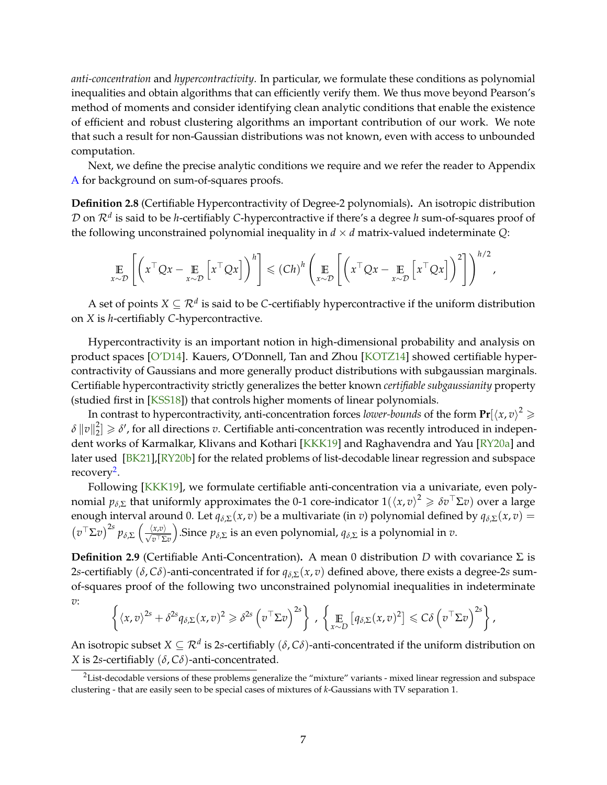<span id="page-9-2"></span>*anti-concentration* and *hypercontractivity*. In particular, we formulate these conditions as polynomial inequalities and obtain algorithms that can efficiently verify them. We thus move beyond Pearson's method of moments and consider identifying clean analytic conditions that enable the existence of efficient and robust clustering algorithms an important contribution of our work. We note that such a result for non-Gaussian distributions was not known, even with access to unbounded computation.

Next, we define the precise analytic conditions we require and we refer the reader to Appendix [A](#page-38-0) for background on sum-of-squares proofs.

<span id="page-9-1"></span>**Definition 2.8** (Certifiable Hypercontractivity of Degree-2 polynomials)**.** An isotropic distribution D on R*<sup>d</sup>* is said to be *h*-certifiably *C*-hypercontractive if there's a degree *h* sum-of-squares proof of the following unconstrained polynomial inequality in  $d \times d$  matrix-valued indeterminate  $Q$ :

$$
\mathop{\mathbb{E}}_{x \sim \mathcal{D}} \left[ \left( x^{\top} Q x - \mathop{\mathbb{E}}_{x \sim \mathcal{D}} \left[ x^{\top} Q x \right] \right)^h \right] \leqslant (Ch)^h \left( \mathop{\mathbb{E}}_{x \sim \mathcal{D}} \left[ \left( x^{\top} Q x - \mathop{\mathbb{E}}_{x \sim \mathcal{D}} \left[ x^{\top} Q x \right] \right)^2 \right] \right)^{h/2},
$$

A set of points  $X \subseteq \mathcal{R}^d$  is said to be *C-*certifiably hypercontractive if the uniform distribution on *X* is *h*-certifiably *C*-hypercontractive.

Hypercontractivity is an important notion in high-dimensional probability and analysis on product spaces [\[O'D14\]](#page-36-7). Kauers, O'Donnell, Tan and Zhou [\[KOTZ14\]](#page-35-4) showed certifiable hypercontractivity of Gaussians and more generally product distributions with subgaussian marginals. Certifiable hypercontractivity strictly generalizes the better known *certifiable subgaussianity* property (studied first in [\[KSS18\]](#page-35-1)) that controls higher moments of linear polynomials.

In contrast to hypercontractivity, anti-concentration forces *lower-bounds* of the form  $\mathbf{Pr}[\langle x, v\rangle^2\geqslant 0]$  $\delta \left\lVert v \right\rVert^2_2$  $\vert \Omega_2^2 \vert \geqslant \delta'$ , for all directions *v*. Certifiable anti-concentration was recently introduced in independent works of Karmalkar, Klivans and Kothari [\[KKK19\]](#page-34-5) and Raghavendra and Yau [\[RY20a\]](#page-37-0) and later used [\[BK21\]](#page-31-4),[\[RY20b\]](#page-37-4) for the related problems of list-decodable linear regression and subspace recovery<sup>[2](#page-9-0)</sup>.

Following [\[KKK19\]](#page-34-5), we formulate certifiable anti-concentration via a univariate, even polynomial  $p_{\delta, \Sigma}$  that uniformly approximates the 0-1 core-indicator  $1(\langle x,v\rangle^2\geqslant\delta v^\top\Sigma v)$  over a large enough interval around 0. Let  $q_{\delta,\Sigma}(x,v)$  be a multivariate (in *v*) polynomial defined by  $q_{\delta,\Sigma}(x,v)$  =  $(v<sup>⊤</sup>Σ*v*)<sup>2*s*</sup> p<sub>δ,Σ</sub> ( <sup>⟨*x*,*v*⟩<sub>*v*<sup>⊤</sup>Σ*v*</sub></sup>$ ).Since  $p_{\delta, \Sigma}$  is an even polynomial,  $q_{\delta, \Sigma}$  is a polynomial in  $v$ .

**Definition 2.9** (Certifiable Anti-Concentration)**.** A mean 0 distribution *D* with covariance Σ is 2*s*-certifiably ( $\delta$ ,  $C\delta$ )-anti-concentrated if for  $q_{\delta, \Sigma}(x, v)$  defined above, there exists a degree-2*s* sumof-squares proof of the following two unconstrained polynomial inequalities in indeterminate *v*:

$$
\left\{ \langle x,v \rangle^{2s} + \delta^{2s} q_{\delta,\Sigma}(x,v)^2 \geq \delta^{2s} \left( v^\top \Sigma v \right)^{2s} \right\}, \left\{ \mathop{\mathbb{E}}_{x \sim D} \left[ q_{\delta,\Sigma}(x,v)^2 \right] \leq C \delta \left( v^\top \Sigma v \right)^{2s} \right\},\
$$

An isotropic subset  $X\subseteq \mathcal{R}^d$  is 2*s*-certifiably  $(\delta,\mathcal{C}\delta)$ -anti-concentrated if the uniform distribution on *X* is 2*s*-certifiably (*δ*, *Cδ*)-anti-concentrated.

<span id="page-9-0"></span><sup>&</sup>lt;sup>2</sup>List-decodable versions of these problems generalize the "mixture" variants - mixed linear regression and subspace clustering - that are easily seen to be special cases of mixtures of *k*-Gaussians with TV separation 1.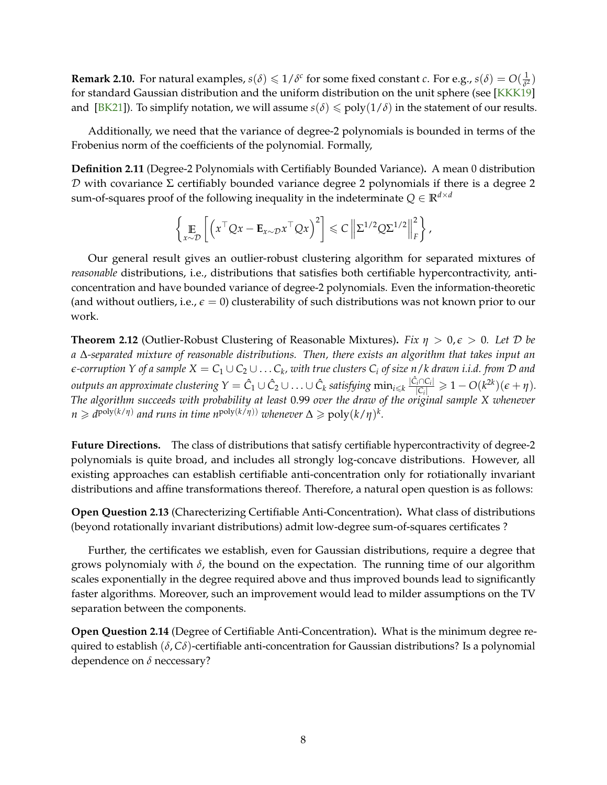<span id="page-10-1"></span>**Remark 2.10.** For natural examples,  $s(\delta) \leq 1/\delta^c$  for some fixed constant *c*. For e.g.,  $s(\delta) = O(\frac{1}{\delta^2})$  $rac{1}{\delta^2}$ ) for standard Gaussian distribution and the uniform distribution on the unit sphere (see [\[KKK19\]](#page-34-5) and [\[BK21\]](#page-31-4)). To simplify notation, we will assume  $s(\delta) \leq \text{poly}(1/\delta)$  in the statement of our results.

Additionally, we need that the variance of degree-2 polynomials is bounded in terms of the Frobenius norm of the coefficients of the polynomial. Formally,

**Definition 2.11** (Degree-2 Polynomials with Certifiably Bounded Variance)**.** A mean 0 distribution  $D$  with covariance Σ certifiably bounded variance degree 2 polynomials if there is a degree 2 sum-of-squares proof of the following inequality in the indeterminate  $Q \in \mathbb{R}^{d \times d}$ 

$$
\left\{\mathop{\mathbb{E}}_{x\sim\mathcal{D}}\left[\left(x^{\top}Qx-\mathbf{E}_{x\sim\mathcal{D}}x^{\top}Qx\right)^{2}\right]\leq C\left\|\Sigma^{1/2}Q\Sigma^{1/2}\right\|_{F}^{2}\right\},\right\}
$$

Our general result gives an outlier-robust clustering algorithm for separated mixtures of *reasonable* distributions, i.e., distributions that satisfies both certifiable hypercontractivity, anticoncentration and have bounded variance of degree-2 polynomials. Even the information-theoretic (and without outliers, i.e.,  $\epsilon = 0$ ) clusterability of such distributions was not known prior to our work.

<span id="page-10-0"></span>**Theorem 2.12** (Outlier-Robust Clustering of Reasonable Mixtures)**.** *Fix η* > 0, *e* > 0*. Let* D *be a* ∆*-separated mixture of reasonable distributions. Then, there exists an algorithm that takes input an*  $\epsilon$ -corruption Y of a sample  $X=C_1\cup C_2\cup\ldots C_k$ , with true clusters  $C_i$  of size  $n/k$  drawn i.i.d. from  ${\cal D}$  and  $\hat{C}_l$   $\cup$   $\hat{C}_k$   $\cap$   $\hat{C}_l$   $\cup$   $\hat{C}_l$   $\cup$   $\hat{C}_l$   $\cup$   $\hat{C}_k$   $\cap$   $\hat{C}_l$   $\cap$   $\hat{C}_l$   $\cap$   $\hat{C}_l$   $\cap$  $\frac{\sum_{i}^{n}C_{i}}{|C_{i}|}\geq 1-O(k^{2k})(\epsilon+\eta).$ *The algorithm succeeds with probability at least* 0.99 *over the draw of the original sample X whenever*  $n \geq d^{\text{poly}(k/\eta)}$  and runs in time  $n^{\text{poly}(k/\eta))}$  whenever  $\Delta \geqslant \text{poly}(k/\eta)^k$ .

Future Directions. The class of distributions that satisfy certifiable hypercontractivity of degree-2 polynomials is quite broad, and includes all strongly log-concave distributions. However, all existing approaches can establish certifiable anti-concentration only for rotiationally invariant distributions and affine transformations thereof. Therefore, a natural open question is as follows:

**Open Question 2.13** (Charecterizing Certifiable Anti-Concentration)**.** What class of distributions (beyond rotationally invariant distributions) admit low-degree sum-of-squares certificates ?

Further, the certificates we establish, even for Gaussian distributions, require a degree that grows polynomialy with *δ*, the bound on the expectation. The running time of our algorithm scales exponentially in the degree required above and thus improved bounds lead to significantly faster algorithms. Moreover, such an improvement would lead to milder assumptions on the TV separation between the components.

**Open Question 2.14** (Degree of Certifiable Anti-Concentration)**.** What is the minimum degree required to establish (*δ*, *Cδ*)-certifiable anti-concentration for Gaussian distributions? Is a polynomial dependence on *δ* neccessary?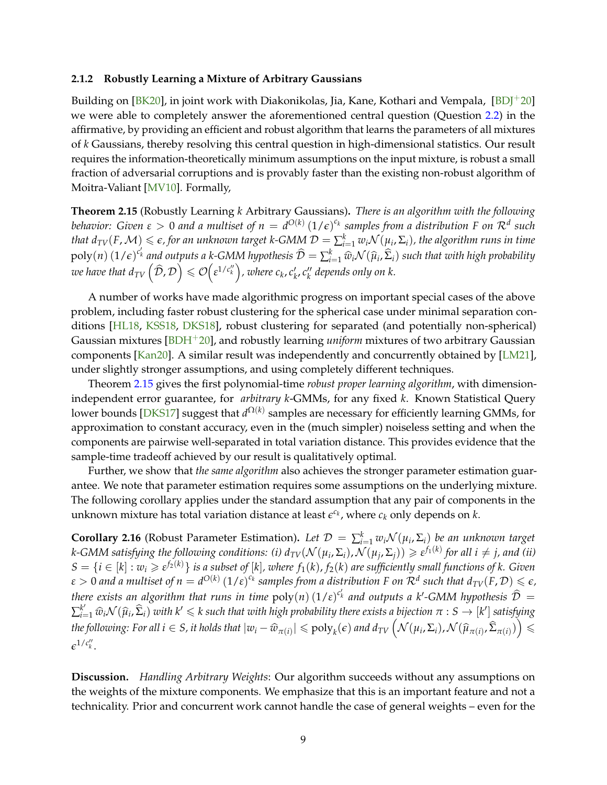#### <span id="page-11-2"></span><span id="page-11-0"></span>**2.1.2 Robustly Learning a Mixture of Arbitrary Gaussians**

Building on  $[BK20]$ , in joint work with Diakonikolas, Jia, Kane, Kothari and Vempala,  $[BDI^+20]$ we were able to completely answer the aforementioned central question (Question [2.2\)](#page-7-2) in the affirmative, by providing an efficient and robust algorithm that learns the parameters of all mixtures of *k* Gaussians, thereby resolving this central question in high-dimensional statistics. Our result requires the information-theoretically minimum assumptions on the input mixture, is robust a small fraction of adversarial corruptions and is provably faster than the existing non-robust algorithm of Moitra-Valiant [\[MV10\]](#page-36-0). Formally,

<span id="page-11-1"></span>**Theorem 2.15** (Robustly Learning *k* Arbitrary Gaussians)**.** *There is an algorithm with the following behavior: Given*  $\varepsilon > 0$  *and a multiset of*  $n = d^{O(k)}\, (1/\epsilon)^{c_k}$  *samples from a distribution F on*  $\mathcal{R}^d$  *such*  $t$ hat  $d_{TV}(F, \mathcal{M}) \leqslant \varepsilon$ , for an unknown target k-GMM  $\mathcal{D}=\sum_{i=1}^kw_i\mathcal{N}(\mu_i, \Sigma_i)$ , the algorithm runs in time  $poly(n)$   $(1/\epsilon)^{c_k}$  and outputs a *k*-GMM hypothesis  $\widehat{D} = \sum_{i=1}^k \widehat{w}_i \mathcal{N}(\widehat{\mu}_i, \widehat{\Sigma}_i)$  such that with high probability  $\omega$ e have that  $d_{TV}\left(\widehat{\cal D}, {\cal D}\right) \leqslant {\cal O}\Bigl(\epsilon^{1/c''_k}\Bigr)$  , where  $c_k, c'_k, c''_k$  depends only on  $k.$ 

A number of works have made algorithmic progress on important special cases of the above problem, including faster robust clustering for the spherical case under minimal separation conditions [\[HL18,](#page-34-1) [KSS18,](#page-35-1) [DKS18\]](#page-33-1), robust clustering for separated (and potentially non-spherical) Gaussian mixtures [\[BDH](#page-31-9)+20], and robustly learning *uniform* mixtures of two arbitrary Gaussian components [\[Kan20\]](#page-34-2). A similar result was independently and concurrently obtained by [\[LM21\]](#page-35-5), under slightly stronger assumptions, and using completely different techniques.

Theorem [2.15](#page-11-1) gives the first polynomial-time *robust proper learning algorithm*, with dimensionindependent error guarantee, for *arbitrary k*-GMMs, for any fixed *k*. Known Statistical Query lower bounds [\[DKS17\]](#page-32-4) suggest that *d*<sup>Ω(*k*)</sup> samples are necessary for efficiently learning GMMs, for approximation to constant accuracy, even in the (much simpler) noiseless setting and when the components are pairwise well-separated in total variation distance. This provides evidence that the sample-time tradeoff achieved by our result is qualitatively optimal.

Further, we show that *the same algorithm* also achieves the stronger parameter estimation guarantee. We note that parameter estimation requires some assumptions on the underlying mixture. The following corollary applies under the standard assumption that any pair of components in the unknown mixture has total variation distance at least  $\epsilon^{c_k}$ , where  $c_k$  only depends on  $k$ .

**Corollary 2.16** (Robust Parameter Estimation). Let  $\mathcal{D} = \sum_{i=1}^{k} w_i \mathcal{N}(\mu_i, \Sigma_i)$  be an unknown target  $k$ -GMM satisfying the following conditions: (i)  $d_{TV}(\mathcal{N}(\mu_i,\Sigma_i),\mathcal{N}(\mu_j,\Sigma_j))\geqslant \varepsilon^{f_1(k)}$  for all  $i\neq j$ , and (ii)  $S=\{i\in[k]:w_i\geqslant \varepsilon^{f_2(k)}\}$  is a subset of  $[k]$ , where  $f_1(k)$ ,  $f_2(k)$  are sufficiently small functions of  $k.$  Given  $\varepsilon>0$  and a multiset of  $n=d^{O(k)}\,(1/\varepsilon)^{c_k}$  samples from a distribution F on  $\mathcal R^d$  such that  $d_{TV}(F,\mathcal D)\leqslant \epsilon$ , *there exists an algorithm that runs in time*  $poly(n) (1/\varepsilon)^{c'_k}$  *and outputs a k'-GMM hypothesis*  $\hat{\mathcal{D}} =$  $\sum_{i=1}^{k'} \widehat{w}_i \mathcal{N}(\widehat{\mu}_i, \widehat{\Sigma}_i)$  with  $k' \leq k$  such that with high probability there exists a bijection  $\pi : S \to [k']$  satisfying the following: For all  $i\in S$ , it holds that  $|w_i-\widehat{w}_{\pi(i)}|\leqslant \mathrm{poly}_k(\epsilon)$  and  $d_{TV}\left(\mathcal{N}(\mu_i,\Sigma_i),\mathcal{N}(\widehat{\mu}_{\pi(i)},\widehat{\Sigma}_{\pi(i)})\right)\leqslant \ell$  $\epsilon^{1/c''_k}$ .

**Discussion.** *Handling Arbitrary Weights*: Our algorithm succeeds without any assumptions on the weights of the mixture components. We emphasize that this is an important feature and not a technicality. Prior and concurrent work cannot handle the case of general weights – even for the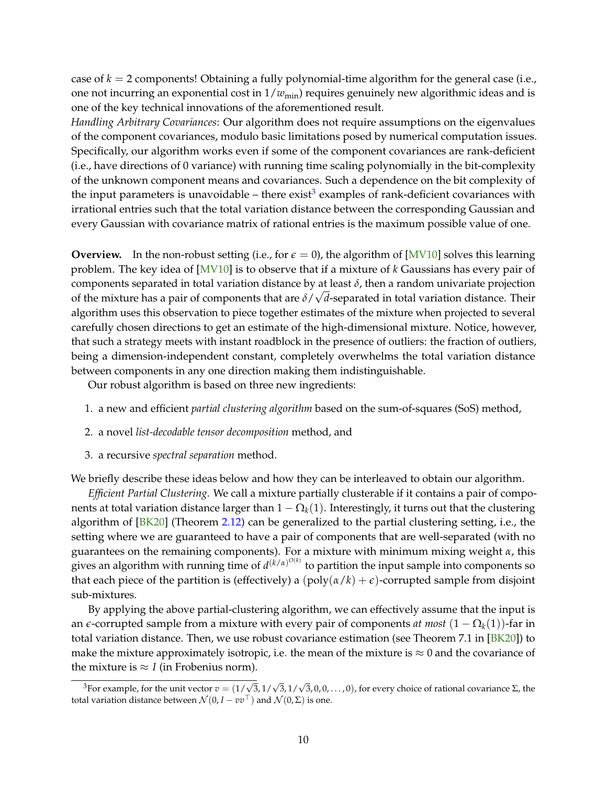<span id="page-12-1"></span>case of *k* = 2 components! Obtaining a fully polynomial-time algorithm for the general case (i.e., one not incurring an exponential cost in  $1/w_{\text{min}}$ ) requires genuinely new algorithmic ideas and is one of the key technical innovations of the aforementioned result.

*Handling Arbitrary Covariances*: Our algorithm does not require assumptions on the eigenvalues of the component covariances, modulo basic limitations posed by numerical computation issues. Specifically, our algorithm works even if some of the component covariances are rank-deficient (i.e., have directions of 0 variance) with running time scaling polynomially in the bit-complexity of the unknown component means and covariances. Such a dependence on the bit complexity of the input parameters is unavoidable – there exist $^3$  $^3$  examples of rank-deficient covariances with irrational entries such that the total variation distance between the corresponding Gaussian and every Gaussian with covariance matrix of rational entries is the maximum possible value of one.

**Overview.** In the non-robust setting (i.e., for  $\epsilon = 0$ ), the algorithm of [\[MV10\]](#page-36-0) solves this learning problem. The key idea of [\[MV10\]](#page-36-0) is to observe that if a mixture of *k* Gaussians has every pair of components separated in total variation distance by at least  $\delta$ , then a random univariate projection of the mixture has a pair of components that are *δ*/ *d*-separated in total variation distance. Their algorithm uses this observation to piece together estimates of the mixture when projected to several carefully chosen directions to get an estimate of the high-dimensional mixture. Notice, however, that such a strategy meets with instant roadblock in the presence of outliers: the fraction of outliers, being a dimension-independent constant, completely overwhelms the total variation distance between components in any one direction making them indistinguishable.

Our robust algorithm is based on three new ingredients:

- 1. a new and efficient *partial clustering algorithm* based on the sum-of-squares (SoS) method,
- 2. a novel *list-decodable tensor decomposition* method, and
- 3. a recursive *spectral separation* method.

We briefly describe these ideas below and how they can be interleaved to obtain our algorithm.

*Efficient Partial Clustering.* We call a mixture partially clusterable if it contains a pair of components at total variation distance larger than  $1 - \Omega_k(1)$ . Interestingly, it turns out that the clustering algorithm of [\[BK20\]](#page-31-0) (Theorem [2.12\)](#page-10-0) can be generalized to the partial clustering setting, i.e., the setting where we are guaranteed to have a pair of components that are well-separated (with no guarantees on the remaining components). For a mixture with minimum mixing weight *α*, this gives an algorithm with running time of  $d^{(k/\alpha)^{O(k)}}$  to partition the input sample into components so that each piece of the partition is (effectively) a  $(poly(\alpha/k) + \epsilon)$ -corrupted sample from disjoint sub-mixtures.

By applying the above partial-clustering algorithm, we can effectively assume that the input is an *e*-corrupted sample from a mixture with every pair of components *at most*  $(1 - \Omega_k(1))$ -far in total variation distance. Then, we use robust covariance estimation (see Theorem 7.1 in [\[BK20\]](#page-31-0)) to make the mixture approximately isotropic, i.e. the mean of the mixture is  $\approx 0$  and the covariance of the mixture is  $\approx$  *I* (in Frobenius norm).

<span id="page-12-0"></span><sup>&</sup>lt;sup>3</sup>For example, for the unit vector  $v = (1/\sqrt{2})$ 3, 1/ √ 3, 1/  $\sqrt{3}$ , 0, 0, . . . , 0), for every choice of rational covariance  $\Sigma$ , the total variation distance between  $\mathcal{N}(0, I - vv^{\top})$  and  $\mathcal{N}(0, \Sigma)$  is one.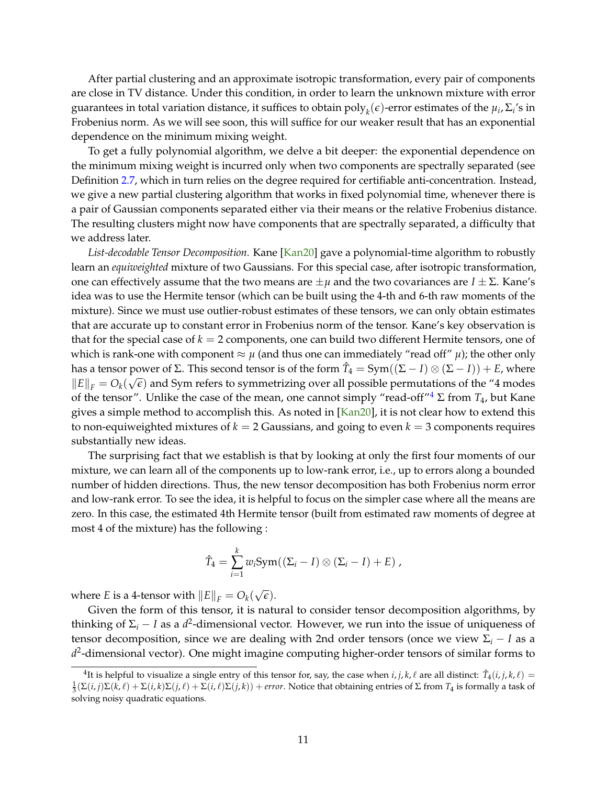<span id="page-13-1"></span>After partial clustering and an approximate isotropic transformation, every pair of components are close in TV distance. Under this condition, in order to learn the unknown mixture with error guarantees in total variation distance, it suffices to obtain  $\text{poly}_k(\epsilon)$ -error estimates of the  $\mu_i$ ,  $\Sigma_i$ 's in Frobenius norm. As we will see soon, this will suffice for our weaker result that has an exponential dependence on the minimum mixing weight.

To get a fully polynomial algorithm, we delve a bit deeper: the exponential dependence on the minimum mixing weight is incurred only when two components are spectrally separated (see Definition [2.7,](#page-8-1) which in turn relies on the degree required for certifiable anti-concentration. Instead, we give a new partial clustering algorithm that works in fixed polynomial time, whenever there is a pair of Gaussian components separated either via their means or the relative Frobenius distance. The resulting clusters might now have components that are spectrally separated, a difficulty that we address later.

*List-decodable Tensor Decomposition.* Kane [\[Kan20\]](#page-34-2) gave a polynomial-time algorithm to robustly learn an *equiweighted* mixture of two Gaussians. For this special case, after isotropic transformation, one can effectively assume that the two means are  $\pm \mu$  and the two covariances are  $I \pm \Sigma$ . Kane's idea was to use the Hermite tensor (which can be built using the 4-th and 6-th raw moments of the mixture). Since we must use outlier-robust estimates of these tensors, we can only obtain estimates that are accurate up to constant error in Frobenius norm of the tensor. Kane's key observation is that for the special case of  $k = 2$  components, one can build two different Hermite tensors, one of which is rank-one with component  $\approx \mu$  (and thus one can immediately "read off"  $\mu$ ); the other only has a tensor power of Σ. This second tensor is of the form  $\hat{T}_4 = Sym((\Sigma - I) \otimes (\Sigma - I)) + E$ , where  $||E||_F = O_k(\sqrt{\epsilon})$  and Sym refers to symmetrizing over all possible permutations of the "4 modes" of the tensor". Unlike the case of the mean, one cannot simply "read-off<sup>"[4](#page-13-0)</sup>  $\Sigma$  from  $T_4$ , but Kane gives a simple method to accomplish this. As noted in [\[Kan20\]](#page-34-2), it is not clear how to extend this to non-equiweighted mixtures of  $k = 2$  Gaussians, and going to even  $k = 3$  components requires substantially new ideas.

The surprising fact that we establish is that by looking at only the first four moments of our mixture, we can learn all of the components up to low-rank error, i.e., up to errors along a bounded number of hidden directions. Thus, the new tensor decomposition has both Frobenius norm error and low-rank error. To see the idea, it is helpful to focus on the simpler case where all the means are zero. In this case, the estimated 4th Hermite tensor (built from estimated raw moments of degree at most 4 of the mixture) has the following :

$$
\hat{T}_4 = \sum_{i=1}^k w_i \operatorname{Sym}((\Sigma_i - I) \otimes (\Sigma_i - I) + E) ,
$$

where *E* is a 4-tensor with  $||E||_F = O_k(\frac{F}{F})$ √ *e*).

Given the form of this tensor, it is natural to consider tensor decomposition algorithms, by thinking of Σ*<sup>i</sup>* − *I* as a *d* 2 -dimensional vector. However, we run into the issue of uniqueness of tensor decomposition, since we are dealing with 2nd order tensors (once we view  $\Sigma_i - I$  as a *d* 2 -dimensional vector). One might imagine computing higher-order tensors of similar forms to

<span id="page-13-0"></span><sup>&</sup>lt;sup>4</sup>It is helpful to visualize a single entry of this tensor for, say, the case when  $i, j, k, \ell$  are all distinct:  $\hat{T}_4(i, j, k, \ell) =$  $\frac{1}{3}(\Sigma(i,j)\Sigma(k,\ell) + \Sigma(i,k)\Sigma(j,\ell) + \Sigma(i,\ell)\Sigma(j,k)) +$  *error*. Notice that obtaining entries of  $\Sigma$  from  $T_4$  is formally a task of solving noisy quadratic equations.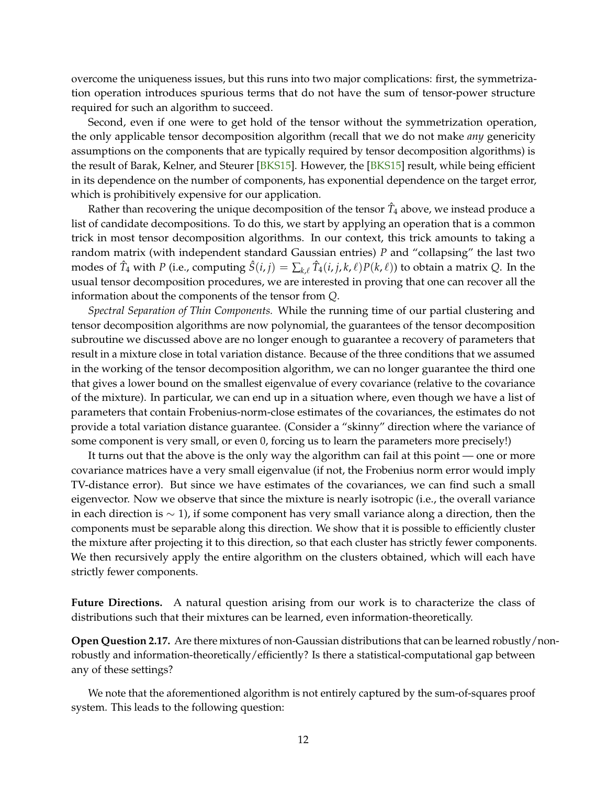<span id="page-14-0"></span>overcome the uniqueness issues, but this runs into two major complications: first, the symmetrization operation introduces spurious terms that do not have the sum of tensor-power structure required for such an algorithm to succeed.

Second, even if one were to get hold of the tensor without the symmetrization operation, the only applicable tensor decomposition algorithm (recall that we do not make *any* genericity assumptions on the components that are typically required by tensor decomposition algorithms) is the result of Barak, Kelner, and Steurer [\[BKS15\]](#page-31-10). However, the [\[BKS15\]](#page-31-10) result, while being efficient in its dependence on the number of components, has exponential dependence on the target error, which is prohibitively expensive for our application.

Rather than recovering the unique decomposition of the tensor  $\hat{T}_4$  above, we instead produce a list of candidate decompositions. To do this, we start by applying an operation that is a common trick in most tensor decomposition algorithms. In our context, this trick amounts to taking a random matrix (with independent standard Gaussian entries) *P* and "collapsing" the last two modes of  $\hat{T}_4$  with  $P$  (i.e., computing  $\hat{S}(i,j) = \sum_{k,\ell} \hat{T}_4(i,j,k,\ell) P(k,\ell)$ ) to obtain a matrix  $Q$ . In the usual tensor decomposition procedures, we are interested in proving that one can recover all the information about the components of the tensor from *Q*.

*Spectral Separation of Thin Components.* While the running time of our partial clustering and tensor decomposition algorithms are now polynomial, the guarantees of the tensor decomposition subroutine we discussed above are no longer enough to guarantee a recovery of parameters that result in a mixture close in total variation distance. Because of the three conditions that we assumed in the working of the tensor decomposition algorithm, we can no longer guarantee the third one that gives a lower bound on the smallest eigenvalue of every covariance (relative to the covariance of the mixture). In particular, we can end up in a situation where, even though we have a list of parameters that contain Frobenius-norm-close estimates of the covariances, the estimates do not provide a total variation distance guarantee. (Consider a "skinny" direction where the variance of some component is very small, or even 0, forcing us to learn the parameters more precisely!)

It turns out that the above is the only way the algorithm can fail at this point — one or more covariance matrices have a very small eigenvalue (if not, the Frobenius norm error would imply TV-distance error). But since we have estimates of the covariances, we can find such a small eigenvector. Now we observe that since the mixture is nearly isotropic (i.e., the overall variance in each direction is  $\sim$  1), if some component has very small variance along a direction, then the components must be separable along this direction. We show that it is possible to efficiently cluster the mixture after projecting it to this direction, so that each cluster has strictly fewer components. We then recursively apply the entire algorithm on the clusters obtained, which will each have strictly fewer components.

**Future Directions.** A natural question arising from our work is to characterize the class of distributions such that their mixtures can be learned, even information-theoretically.

**Open Question 2.17.** Are there mixtures of non-Gaussian distributions that can be learned robustly/nonrobustly and information-theoretically/efficiently? Is there a statistical-computational gap between any of these settings?

We note that the aforementioned algorithm is not entirely captured by the sum-of-squares proof system. This leads to the following question: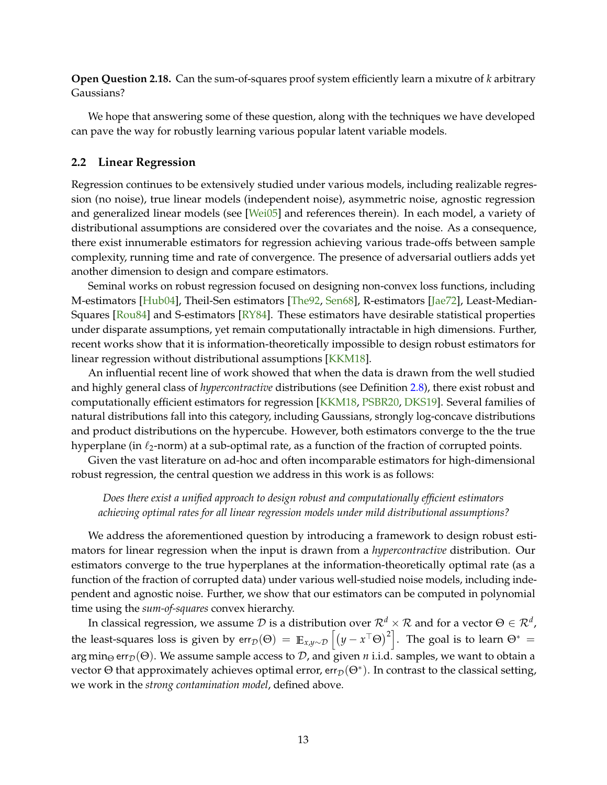<span id="page-15-1"></span>**Open Question 2.18.** Can the sum-of-squares proof system efficiently learn a mixutre of *k* arbitrary Gaussians?

We hope that answering some of these question, along with the techniques we have developed can pave the way for robustly learning various popular latent variable models.

#### <span id="page-15-0"></span>**2.2 Linear Regression**

Regression continues to be extensively studied under various models, including realizable regression (no noise), true linear models (independent noise), asymmetric noise, agnostic regression and generalized linear models (see [\[Wei05\]](#page-37-5) and references therein). In each model, a variety of distributional assumptions are considered over the covariates and the noise. As a consequence, there exist innumerable estimators for regression achieving various trade-offs between sample complexity, running time and rate of convergence. The presence of adversarial outliers adds yet another dimension to design and compare estimators.

Seminal works on robust regression focused on designing non-convex loss functions, including M-estimators [\[Hub04\]](#page-34-9), Theil-Sen estimators [\[The92,](#page-37-6) [Sen68\]](#page-37-7), R-estimators [\[Jae72\]](#page-34-11), Least-Median-Squares [\[Rou84\]](#page-36-8) and S-estimators [\[RY84\]](#page-36-9). These estimators have desirable statistical properties under disparate assumptions, yet remain computationally intractable in high dimensions. Further, recent works show that it is information-theoretically impossible to design robust estimators for linear regression without distributional assumptions [\[KKM18\]](#page-34-3).

An influential recent line of work showed that when the data is drawn from the well studied and highly general class of *hypercontractive* distributions (see Definition [2.8\)](#page-9-1), there exist robust and computationally efficient estimators for regression [\[KKM18,](#page-34-3) [PSBR20,](#page-36-2) [DKS19\]](#page-33-2). Several families of natural distributions fall into this category, including Gaussians, strongly log-concave distributions and product distributions on the hypercube. However, both estimators converge to the the true hyperplane (in  $\ell_2$ -norm) at a sub-optimal rate, as a function of the fraction of corrupted points.

Given the vast literature on ad-hoc and often incomparable estimators for high-dimensional robust regression, the central question we address in this work is as follows:

#### *Does there exist a unified approach to design robust and computationally efficient estimators achieving optimal rates for all linear regression models under mild distributional assumptions?*

We address the aforementioned question by introducing a framework to design robust estimators for linear regression when the input is drawn from a *hypercontractive* distribution. Our estimators converge to the true hyperplanes at the information-theoretically optimal rate (as a function of the fraction of corrupted data) under various well-studied noise models, including independent and agnostic noise. Further, we show that our estimators can be computed in polynomial time using the *sum-of-squares* convex hierarchy.

In classical regression, we assume  $\cal D$  is a distribution over  $\mathcal R^d\times \cal R$  and for a vector  $\Theta\in\mathcal R^d$  , the least-squares loss is given by err $_{\cal D}(\Theta) \,=\, \mathop{\mathbb{E}}_{x,y \sim {\cal D}} \left[ \left( y - x^\top \Theta \right)^2 \right].$  The goal is to learn  $\Theta^* \,=$ arg min<sub>Θ</sub> err<sub>D</sub>(Θ). We assume sample access to D, and given *n* i.i.d. samples, we want to obtain a vector  $\Theta$  that approximately achieves optimal error, err ${}_{\mathcal{D}}(\Theta^*)$ . In contrast to the classical setting, we work in the *strong contamination model*, defined above.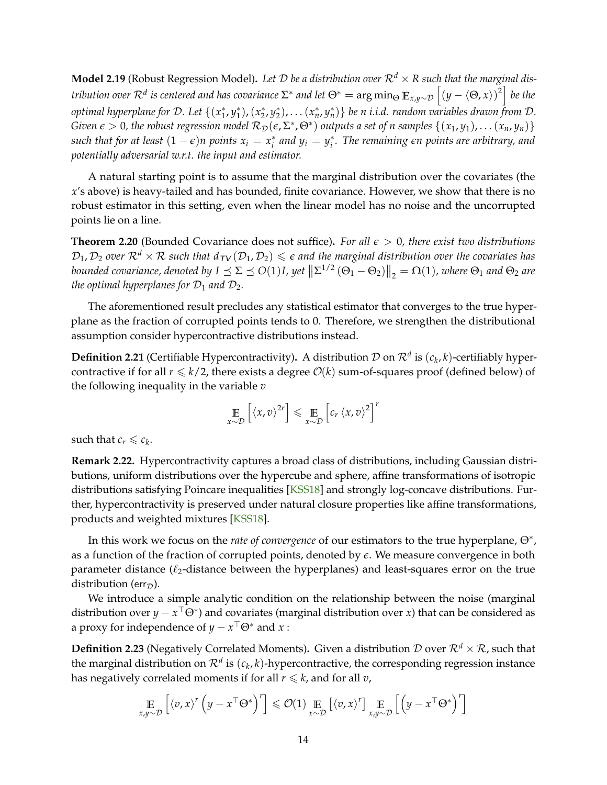<span id="page-16-1"></span>**Model 2.19** (Robust Regression Model). Let D be a distribution over  $\mathbb{R}^d \times \mathbb{R}$  such that the marginal dis*tribution over*  $\mathcal{R}^d$  *is centered and has covariance*  $\Sigma^*$  *and let*  $\Theta^*=\arg\min_{\Theta}\mathbb{E}_{x,y\sim\mathcal{D}}\left[(y-\langle\Theta,x\rangle)^2\right]$  *be the* optimal hyperplane for D. Let  $\{(x_1^*,y_1^*),(x_2^*,y_2^*),\dots (x_n^*,y_n^*)\}$  be n i.i.d. random variables drawn from D. *Given*  $\epsilon > 0$ , the robust regression model  $\mathcal{R}_D(\epsilon, \Sigma^*, \Theta^*)$  outputs a set of n samples  $\{(x_1, y_1), \dots (x_n, y_n)\}$ such that for at least  $(1 - \epsilon)n$  points  $x_i = x_i^*$  and  $y_i = y_i^*$ . The remaining  $\epsilon n$  points are arbitrary, and *potentially adversarial w.r.t. the input and estimator.*

A natural starting point is to assume that the marginal distribution over the covariates (the *x*'s above) is heavy-tailed and has bounded, finite covariance. However, we show that there is no robust estimator in this setting, even when the linear model has no noise and the uncorrupted points lie on a line.

**Theorem 2.20** (Bounded Covariance does not suffice)**.** *For all e* > 0*, there exist two distributions*  $D_1, D_2$  *over*  $\mathbb{R}^d \times \mathbb{R}$  such that  $d_{TV}(D_1, D_2) \leq \epsilon$  and the marginal distribution over the covariates has bounded covariance, denoted by  $I \preceq \Sigma \preceq O(1)I$ , yet  $\left\| \Sigma^{1/2} (\Theta_1 - \Theta_2) \right\|_2 = \Omega(1)$ , where  $\Theta_1$  and  $\Theta_2$  are *the optimal hyperplanes for*  $\mathcal{D}_1$  *and*  $\mathcal{D}_2$ *.* 

The aforementioned result precludes any statistical estimator that converges to the true hyperplane as the fraction of corrupted points tends to 0. Therefore, we strengthen the distributional assumption consider hypercontractive distributions instead.

**Definition 2.21** (Certifiable Hypercontractivity). A distribution  $\mathcal D$  on  $\mathcal R^d$  is  $(c_k,k)$ -certifiably hypercontractive if for all  $r \le k/2$ , there exists a degree  $\mathcal{O}(k)$  sum-of-squares proof (defined below) of the following inequality in the variable *v*

$$
\mathop{\mathbb{E}}_{x \sim \mathcal{D}} \left[ \langle x, v \rangle^{2r} \right] \leq \mathop{\mathbb{E}}_{x \sim \mathcal{D}} \left[ c_r \langle x, v \rangle^2 \right]^r
$$

such that  $c_r \leq c_k$ .

**Remark 2.22.** Hypercontractivity captures a broad class of distributions, including Gaussian distributions, uniform distributions over the hypercube and sphere, affine transformations of isotropic distributions satisfying Poincare inequalities [\[KSS18\]](#page-35-1) and strongly log-concave distributions. Further, hypercontractivity is preserved under natural closure properties like affine transformations, products and weighted mixtures [\[KSS18\]](#page-35-1).

In this work we focus on the *rate of convergence* of our estimators to the true hyperplane, Θ<sup>∗</sup> , as a function of the fraction of corrupted points, denoted by *e*. We measure convergence in both parameter distance  $(\ell_2$ -distance between the hyperplanes) and least-squares error on the true distribution (err<sub>D</sub>).

We introduce a simple analytic condition on the relationship between the noise (marginal distribution over  $y - x^\top \Theta^*$ ) and covariates (marginal distribution over *x*) that can be considered as a proxy for independence of  $y - x^\top \Theta^*$  and  $x$  :

<span id="page-16-0"></span>**Definition 2.23** (Negatively Correlated Moments). Given a distribution  $\mathcal{D}$  over  $\mathcal{R}^d \times \mathcal{R}$ , such that the marginal distribution on  $\mathcal{R}^d$  is  $(c_k, k)$ -hypercontractive, the corresponding regression instance has negatively correlated moments if for all  $r \le k$ , and for all  $v$ ,

$$
\underset{x,y \sim \mathcal{D}}{\mathbb{E}}\left[ \left\langle v, x \right\rangle^r \left( y - x^\top \Theta^* \right)^r \right] \leqslant \mathcal{O}(1) \underset{x \sim \mathcal{D}}{\mathbb{E}}\left[ \left\langle v, x \right\rangle^r \right] \underset{x,y \sim \mathcal{D}}{\mathbb{E}}\left[ \left( y - x^\top \Theta^* \right)^r \right]
$$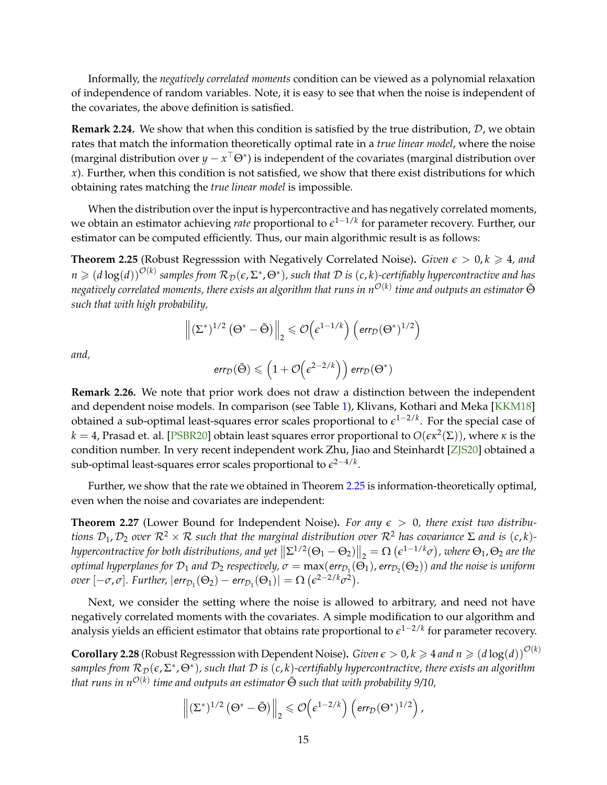<span id="page-17-3"></span>Informally, the *negatively correlated moments* condition can be viewed as a polynomial relaxation of independence of random variables. Note, it is easy to see that when the noise is independent of the covariates, the above definition is satisfied.

**Remark 2.24.** We show that when this condition is satisfied by the true distribution, D, we obtain rates that match the information theoretically optimal rate in a *true linear model*, where the noise (marginal distribution over  $y - x^\top \Theta^*$ ) is independent of the covariates (marginal distribution over *x*). Further, when this condition is not satisfied, we show that there exist distributions for which obtaining rates matching the *true linear model* is impossible.

When the distribution over the input is hypercontractive and has negatively correlated moments, we obtain an estimator achieving *rate* proportional to *e* 1−1/*k* for parameter recovery. Further, our estimator can be computed efficiently. Thus, our main algorithmic result is as follows:

<span id="page-17-0"></span>**Theorem 2.25** (Robust Regresssion with Negatively Correlated Noise). *Given*  $\epsilon > 0, k \ge 4$ , and  $n\geqslant (d\log(d))^{O(k)}$  samples from  $\mathcal{R}_\mathcal{D}(\epsilon,\Sigma^*,\Theta^*)$ , such that  $\mathcal D$  is  $(c,k)$ -certifiably hypercontractive and has *negatively correlated moments, there exists an algorithm that runs in n* O(*k*) *time and outputs an estimator* Θ˜ *such that with high probability,*

$$
\left\|(\Sigma^*)^{1/2}\left(\Theta^*-\tilde{\Theta}\right)\right\|_2\leqslant \mathcal{O}\!\left(\varepsilon^{1-1/k}\right)\left(\text{err}_{\mathcal{D}}(\Theta^*)^{1/2}\right)
$$

*and,*

$$
err_{\mathcal{D}}(\tilde{\Theta}) \leqslant \left(1 + \mathcal{O}\!\left(\epsilon^{2-2/k}\right)\right) \text{err}_{\mathcal{D}}(\Theta^*)
$$

**Remark 2.26.** We note that prior work does not draw a distinction between the independent and dependent noise models. In comparison (see Table [1\)](#page-18-0), Klivans, Kothari and Meka [\[KKM18\]](#page-34-3) obtained a sub-optimal least-squares error scales proportional to *e* 1−2/*k* . For the special case of *k* = 4, Prasad et. al. [\[PSBR20\]](#page-36-2) obtain least squares error proportional to *O*(*eκ*<sup>2</sup> (Σ)), where *κ* is the condition number. In very recent independent work Zhu, Jiao and Steinhardt [\[ZJS20\]](#page-38-1) obtained a sub-optimal least-squares error scales proportional to *e* 2−4/*k* .

Further, we show that the rate we obtained in Theorem [2.25](#page-17-0) is information-theoretically optimal, even when the noise and covariates are independent:

<span id="page-17-2"></span>**Theorem 2.27** (Lower Bound for Independent Noise). For any  $\epsilon > 0$ , there exist two distribu*tions*  $\mathcal{D}_1$ ,  $\mathcal{D}_2$  *over*  $\mathcal{R}^2 \times \mathcal{R}$  *such that the marginal distribution over*  $\mathcal{R}^2$  *has covariance*  $\Sigma$  *and is* (*c*, *k*)*hypercontractive for both distributions, and yet*  $\|\Sigma^{1/2}(\Theta_1-\Theta_2)\|_2 = \Omega\left(\epsilon^{1-1/k}\sigma\right)$ , where  $\Theta_1$ ,  $\Theta_2$  are the  $p$  *optimal hyperplanes for*  $\mathcal{D}_1$  *and*  $\mathcal{D}_2$  *respectively,*  $\sigma = \max(\textsf{err}_{\mathcal{D}_1}(\Theta_1)$ *,*  $\textsf{err}_{\mathcal{D}_2}(\Theta_2))$  *<i>and the noise is uniform over*  $[-\sigma, \sigma]$ *. Further,*  $|\textsf{err}_{\mathcal{D}_1}(\Theta_2) - \textsf{err}_{\mathcal{D}_1}(\Theta_1)| = \Omega \left( \epsilon^{2-2/k} \sigma^2 \right)$ *.* 

Next, we consider the setting where the noise is allowed to arbitrary, and need not have negatively correlated moments with the covariates. A simple modification to our algorithm and analysis yields an efficient estimator that obtains rate proportional to *e* 1−2/*k* for parameter recovery.

<span id="page-17-1"></span> $\bf{Corollary 2.28}$  (Robust Regresssion with Dependent Noise). *Given*  $\epsilon>0$ *,*  $k\geqslant 4$  *and*  $n\geqslant (d\log(d))^{O(k)}$  $s$ amples from  $\mathcal{R}_\mathcal{D}(\epsilon, \Sigma^*,\Theta^*)$ , such that  $\mathcal D$  is  $(c,k)$ -certifiably hypercontractive, there exists an algorithm *that runs in n*O(*k*) *time and outputs an estimator* Θ˜ *such that with probability 9/10,*

$$
\left\| \left( \Sigma^* \right)^{1/2} \left( \Theta^* - \tilde{\Theta} \right) \right\|_2 \leqslant \mathcal{O} \left( \epsilon^{1-2/k} \right) \left( \text{err}_{\mathcal{D}}(\Theta^*)^{1/2} \right),
$$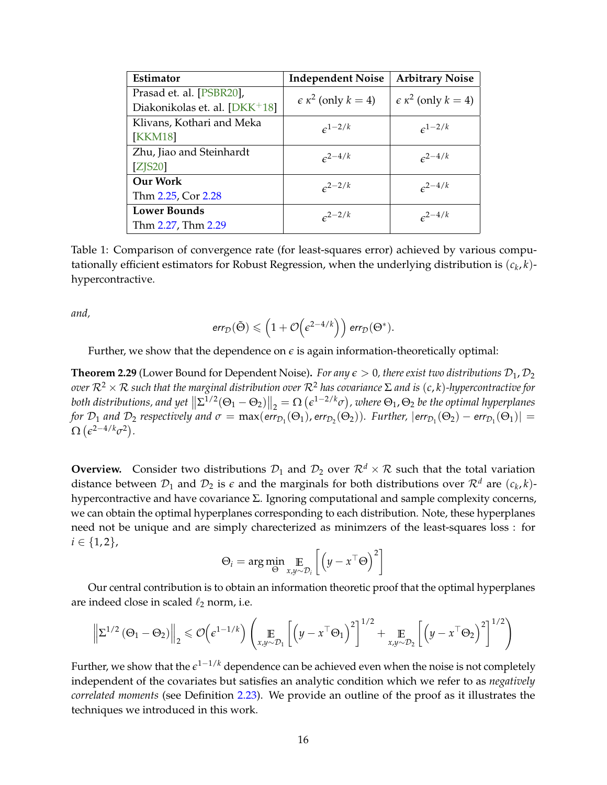<span id="page-18-2"></span><span id="page-18-0"></span>

| Estimator                     | <b>Independent Noise</b>            | <b>Arbitrary Noise</b>              |  |
|-------------------------------|-------------------------------------|-------------------------------------|--|
| Prasad et. al. [PSBR20],      | $\epsilon \kappa^2$ (only $k = 4$ ) | $\epsilon \kappa^2$ (only $k = 4$ ) |  |
| Diakonikolas et. al. [DKK+18] |                                     |                                     |  |
| Klivans, Kothari and Meka     | $e^{1-2/k}$                         | $\epsilon^{1-2/k}$                  |  |
| <b>KKM18</b>                  |                                     |                                     |  |
| Zhu, Jiao and Steinhardt      | $\epsilon^{2-4/k}$                  | $\epsilon^{2-4/k}$                  |  |
| $Z$ [S20]                     |                                     |                                     |  |
| <b>Our Work</b>               | $e^{2-2/k}$                         | $\epsilon^{2-4/k}$                  |  |
| Thm 2.25, Cor 2.28            |                                     |                                     |  |
| <b>Lower Bounds</b>           | $e^{2-2/k}$                         | $c^{2-4/k}$                         |  |
| Thm 2.27, Thm 2.29            |                                     |                                     |  |

Table 1: Comparison of convergence rate (for least-squares error) achieved by various computationally efficient estimators for Robust Regression, when the underlying distribution is  $(c_k, k)$ hypercontractive.

*and,*

$$
err_{\mathcal{D}}(\tilde{\Theta}) \leqslant \left(1+\mathcal{O}\!\left(\epsilon^{2-4/k}\right)\right) \text{err}_{\mathcal{D}}(\Theta^*).
$$

Further, we show that the dependence on  $\epsilon$  is again information-theoretically optimal:

<span id="page-18-1"></span>**Theorem 2.29** (Lower Bound for Dependent Noise). *For any*  $\epsilon > 0$ , *there exist two distributions*  $\mathcal{D}_1$ ,  $\mathcal{D}_2$ *over*  $\mathcal{R}^2 \times \mathcal{R}$  *such that the marginal distribution over*  $\mathcal{R}^2$  *has covariance* Σ *and is* (*c*, *k*)-*hypercontractive* for both distributions, and yet  $\|\Sigma^{1/2}(\Theta_1-\Theta_2)\|_2 = \Omega\left(\epsilon^{1-2/k}\sigma\right)$ , where  $\Theta_1$ ,  $\Theta_2$  be the optimal hyperplanes *for*  $\mathcal{D}_1$  *and*  $\mathcal{D}_2$  *respectively and*  $\sigma = \max(\textsf{err}_{\mathcal{D}_1}(\Theta_1), \textsf{err}_{\mathcal{D}_2}(\Theta_2)).$  *Further,*  $|\textsf{err}_{\mathcal{D}_1}(\Theta_2) - \textsf{err}_{\mathcal{D}_1}(\Theta_1)| =$  $\Omega\left(\epsilon^{2-4/k}\sigma^2\right)$ .

**Overview.** Consider two distributions  $D_1$  and  $D_2$  over  $\mathbb{R}^d \times \mathbb{R}$  such that the total variation distance between  $\mathcal{D}_1$  and  $\mathcal{D}_2$  is  $\epsilon$  and the marginals for both distributions over  $\mathcal{R}^d$  are  $(c_k, k)$ hypercontractive and have covariance Σ. Ignoring computational and sample complexity concerns, we can obtain the optimal hyperplanes corresponding to each distribution. Note, these hyperplanes need not be unique and are simply charecterized as minimzers of the least-squares loss : for  $i \in \{1,2\},\$ 

$$
\Theta_i = \arg\min_{\Theta} \mathop{\mathbb{E}}_{x, y \sim \mathcal{D}_i} \left[ \left( y - x^\top \Theta \right)^2 \right]
$$

Our central contribution is to obtain an information theoretic proof that the optimal hyperplanes are indeed close in scaled  $\ell_2$  norm, i.e.

$$
\left\| \Sigma^{1/2} \left( \Theta_1 - \Theta_2 \right) \right\|_2 \leqslant \mathcal{O} \left( \epsilon^{1-1/k} \right) \left( \mathop{\mathbb{E}}_{x, y \sim \mathcal{D}_1} \left[ \left( y - x^{\top} \Theta_1 \right)^2 \right]^{1/2} + \mathop{\mathbb{E}}_{x, y \sim \mathcal{D}_2} \left[ \left( y - x^{\top} \Theta_2 \right)^2 \right]^{1/2} \right)
$$

Further, we show that the *e* <sup>1</sup>−1/*<sup>k</sup>* dependence can be achieved even when the noise is not completely independent of the covariates but satisfies an analytic condition which we refer to as *negatively correlated moments* (see Definition [2.23\)](#page-16-0). We provide an outline of the proof as it illustrates the techniques we introduced in this work.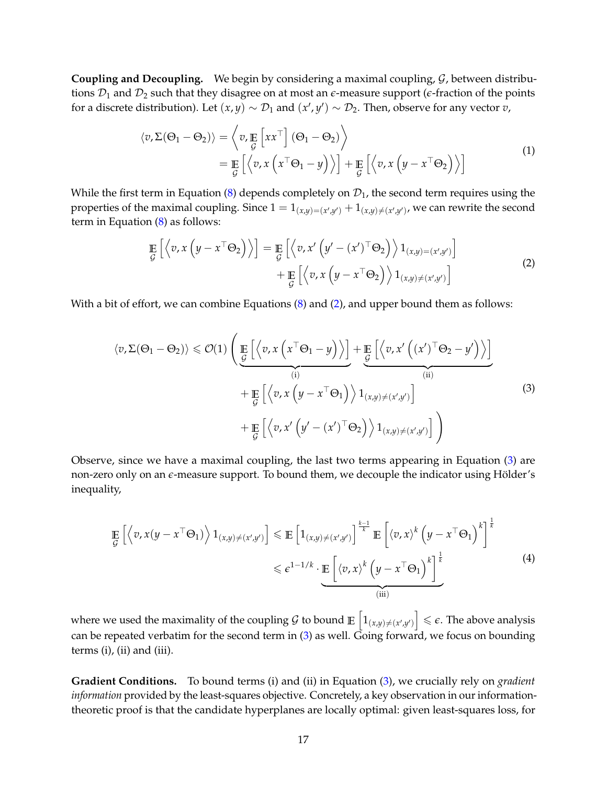**Coupling and Decoupling.** We begin by considering a maximal coupling, G, between distributions  $\mathcal{D}_1$  and  $\mathcal{D}_2$  such that they disagree on at most an  $\epsilon$ -measure support ( $\epsilon$ -fraction of the points for a discrete distribution). Let  $(x, y) \sim D_1$  and  $(x', y') \sim D_2$ . Then, observe for any vector  $v$ ,

$$
\langle v, \Sigma(\Theta_1 - \Theta_2) \rangle = \left\langle v, \mathop{\mathbb{E}}_{\mathcal{G}} \left[ x x^{\top} \right] (\Theta_1 - \Theta_2) \right\rangle
$$
  
= 
$$
\mathop{\mathbb{E}}_{\mathcal{G}} \left[ \left\langle v, x \left( x^{\top} \Theta_1 - y \right) \right\rangle \right] + \mathop{\mathbb{E}}_{\mathcal{G}} \left[ \left\langle v, x \left( y - x^{\top} \Theta_2 \right) \right\rangle \right]
$$
 (1)

While the first term in Equation [\(8\)](#page-28-0) depends completely on  $\mathcal{D}_1$ , the second term requires using the properties of the maximal coupling. Since  $1 = 1_{(x,y)=(x',y')} + 1_{(x,y)\neq (x',y')}$ , we can rewrite the second term in Equation [\(8\)](#page-28-0) as follows:

$$
\mathop{\mathbb{E}}_{\mathcal{G}}\left[\left\langle v, x\left(y - x^{\top} \Theta_{2}\right) \right\rangle\right] = \mathop{\mathbb{E}}_{\mathcal{G}}\left[\left\langle v, x'\left(y' - (x')^{\top} \Theta_{2}\right) \right\rangle 1_{(x,y)=(x',y')} \right] + \mathop{\mathbb{E}}_{\mathcal{G}}\left[\left\langle v, x\left(y - x^{\top} \Theta_{2}\right) \right\rangle 1_{(x,y)\neq (x',y')} \right]
$$
\n(2)

<span id="page-19-0"></span>With a bit of effort, we can combine Equations [\(8\)](#page-28-0) and [\(2\)](#page-19-0), and upper bound them as follows:

<span id="page-19-1"></span>
$$
\langle v, \Sigma(\Theta_1 - \Theta_2) \rangle \leq \mathcal{O}(1) \left( \underbrace{\mathbb{E}\left[ \left\langle v, x \left( x^{\top} \Theta_1 - y \right) \right\rangle \right]}_{(i)} + \underbrace{\mathbb{E}\left[ \left\langle v, x' \left( (x')^{\top} \Theta_2 - y' \right) \right\rangle \right]}_{(ii)} + \underbrace{\mathbb{E}\left[ \left\langle v, x \left( y - x^{\top} \Theta_1 \right) \right\rangle 1_{(x,y) \neq (x',y')}}_{\text{min}} \right] \right)
$$
\n
$$
+ \underbrace{\mathbb{E}\left[ \left\langle v, x' \left( y' - (x')^{\top} \Theta_2 \right) \right\rangle 1_{(x,y) \neq (x',y')}}_{(x,y) \neq (x',y')} \right] \right)
$$
\n(3)

Observe, since we have a maximal coupling, the last two terms appearing in Equation [\(3\)](#page-19-1) are non-zero only on an  $\epsilon$ -measure support. To bound them, we decouple the indicator using Hölder's inequality,

$$
\mathbb{E}\left[\left\langle v, x(y - x^{\top} \Theta_{1})\right\rangle 1_{(x,y) \neq (x',y')} \right] \leq \mathbb{E}\left[1_{(x,y) \neq (x',y')} \right]^{\frac{k-1}{k}} \mathbb{E}\left[\left\langle v, x\right\rangle^{k} \left(y - x^{\top} \Theta_{1}\right)^{k}\right]^{\frac{1}{k}} \leq \epsilon^{1-1/k} \cdot \underbrace{\mathbb{E}\left[\left\langle v, x\right\rangle^{k} \left(y - x^{\top} \Theta_{1}\right)^{k}\right]^{\frac{1}{k}}}_{\text{(iii)}} \tag{4}
$$

where we used the maximality of the coupling  $\mathcal G$  to bound  $\mathbb E\left[1_{(x,y)\neq (x',y')}\right]\leqslant \epsilon.$  The above analysis can be repeated verbatim for the second term in  $(3)$  as well. Going forward, we focus on bounding terms (i), (ii) and (iii).

**Gradient Conditions.** To bound terms (i) and (ii) in Equation [\(3\)](#page-19-1), we crucially rely on *gradient information* provided by the least-squares objective. Concretely, a key observation in our informationtheoretic proof is that the candidate hyperplanes are locally optimal: given least-squares loss, for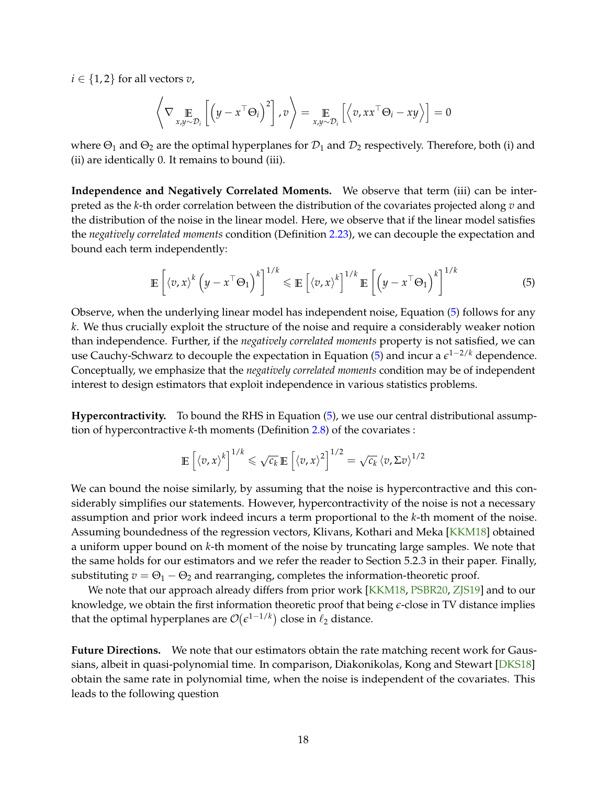<span id="page-20-1"></span> $i \in \{1,2\}$  for all vectors *v*,

$$
\left\langle \nabla \mathop{\mathbb{E}}_{x,y \sim \mathcal{D}_i} \left[ \left( y - x^\top \Theta_i \right)^2 \right], v \right\rangle = \mathop{\mathbb{E}}_{x,y \sim \mathcal{D}_i} \left[ \left\langle v, xx^\top \Theta_i - xy \right\rangle \right] = 0
$$

where  $\Theta_1$  and  $\Theta_2$  are the optimal hyperplanes for  $\mathcal{D}_1$  and  $\mathcal{D}_2$  respectively. Therefore, both (i) and (ii) are identically 0. It remains to bound (iii).

**Independence and Negatively Correlated Moments.** We observe that term (iii) can be interpreted as the *k*-th order correlation between the distribution of the covariates projected along *v* and the distribution of the noise in the linear model. Here, we observe that if the linear model satisfies the *negatively correlated moments* condition (Definition [2.23\)](#page-16-0), we can decouple the expectation and bound each term independently:

<span id="page-20-0"></span>
$$
\mathbb{E}\left[\left\langle v,x\right\rangle^k\left(y-x^\top\Theta_1\right)^k\right]^{1/k}\leqslant\mathbb{E}\left[\left\langle v,x\right\rangle^k\right]^{1/k}\mathbb{E}\left[\left(y-x^\top\Theta_1\right)^k\right]^{1/k}\tag{5}
$$

Observe, when the underlying linear model has independent noise, Equation [\(5\)](#page-20-0) follows for any *k*. We thus crucially exploit the structure of the noise and require a considerably weaker notion than independence. Further, if the *negatively correlated moments* property is not satisfied, we can use Cauchy-Schwarz to decouple the expectation in Equation [\(5\)](#page-20-0) and incur a *e* <sup>1</sup>−2/*<sup>k</sup>* dependence. Conceptually, we emphasize that the *negatively correlated moments* condition may be of independent interest to design estimators that exploit independence in various statistics problems.

**Hypercontractivity.** To bound the RHS in Equation [\(5\)](#page-20-0), we use our central distributional assumption of hypercontractive *k*-th moments (Definition [2.8\)](#page-9-1) of the covariates :

$$
\mathbb{E}\left[\left\langle v,x\right\rangle^k\right]^{1/k}\leqslant\sqrt{c_k}\,\mathbb{E}\left[\left\langle v,x\right\rangle^2\right]^{1/2}=\sqrt{c_k}\left\langle v,\Sigma v\right\rangle^{1/2}
$$

We can bound the noise similarly, by assuming that the noise is hypercontractive and this considerably simplifies our statements. However, hypercontractivity of the noise is not a necessary assumption and prior work indeed incurs a term proportional to the *k*-th moment of the noise. Assuming boundedness of the regression vectors, Klivans, Kothari and Meka [\[KKM18\]](#page-34-3) obtained a uniform upper bound on *k*-th moment of the noise by truncating large samples. We note that the same holds for our estimators and we refer the reader to Section 5.2.3 in their paper. Finally, substituting  $v = \Theta_1 - \Theta_2$  and rearranging, completes the information-theoretic proof.

We note that our approach already differs from prior work [\[KKM18,](#page-34-3) [PSBR20,](#page-36-2) [ZJS19\]](#page-38-3) and to our knowledge, we obtain the first information theoretic proof that being *e*-close in TV distance implies that the optimal hyperplanes are  $\mathcal{O}(\epsilon^{1-1/k})$  close in  $\ell_2$  distance.

**Future Directions.** We note that our estimators obtain the rate matching recent work for Gaus-sians, albeit in quasi-polynomial time. In comparison, Diakonikolas, Kong and Stewart [\[DKS18\]](#page-33-1) obtain the same rate in polynomial time, when the noise is independent of the covariates. This leads to the following question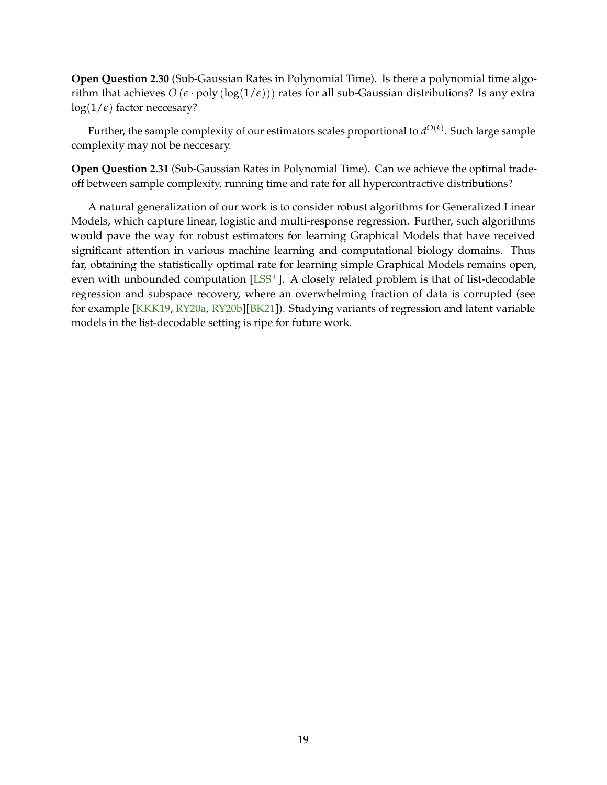<span id="page-21-0"></span>**Open Question 2.30** (Sub-Gaussian Rates in Polynomial Time)**.** Is there a polynomial time algorithm that achieves  $O(\epsilon \cdot \text{poly}(\log(1/\epsilon)))$  rates for all sub-Gaussian distributions? Is any extra  $log(1/\epsilon)$  factor neccesary?

Further, the sample complexity of our estimators scales proportional to  $d^{\Omega(k)}.$  Such large sample complexity may not be neccesary.

**Open Question 2.31** (Sub-Gaussian Rates in Polynomial Time)**.** Can we achieve the optimal tradeoff between sample complexity, running time and rate for all hypercontractive distributions?

A natural generalization of our work is to consider robust algorithms for Generalized Linear Models, which capture linear, logistic and multi-response regression. Further, such algorithms would pave the way for robust estimators for learning Graphical Models that have received significant attention in various machine learning and computational biology domains. Thus far, obtaining the statistically optimal rate for learning simple Graphical Models remains open, even with unbounded computation  $[LSS^+]$  $[LSS^+]$ . A closely related problem is that of list-decodable regression and subspace recovery, where an overwhelming fraction of data is corrupted (see for example [\[KKK19,](#page-34-5) [RY20a,](#page-37-0) [RY20b\]](#page-37-4)[\[BK21\]](#page-31-4)). Studying variants of regression and latent variable models in the list-decodable setting is ripe for future work.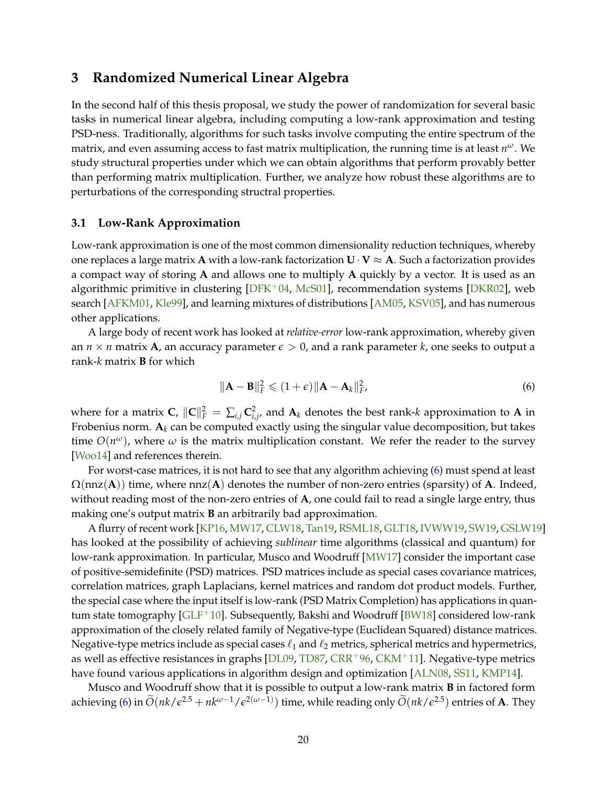## <span id="page-22-3"></span><span id="page-22-0"></span>**3 Randomized Numerical Linear Algebra**

In the second half of this thesis proposal, we study the power of randomization for several basic tasks in numerical linear algebra, including computing a low-rank approximation and testing PSD-ness. Traditionally, algorithms for such tasks involve computing the entire spectrum of the matrix, and even assuming access to fast matrix multiplication, the running time is at least *n <sup>ω</sup>*. We study structural properties under which we can obtain algorithms that perform provably better than performing matrix multiplication. Further, we analyze how robust these algorithms are to perturbations of the corresponding structral properties.

#### <span id="page-22-1"></span>**3.1 Low-Rank Approximation**

Low-rank approximation is one of the most common dimensionality reduction techniques, whereby one replaces a large matrix **A** with a low-rank factorization  $\mathbf{U} \cdot \mathbf{V} \approx \mathbf{A}$ . Such a factorization provides a compact way of storing **A** and allows one to multiply **A** quickly by a vector. It is used as an algorithmic primitive in clustering  $[DFK^+04, McG01]$  $[DFK^+04, McG01]$ , recommendation systems  $[DKR02]$ , web search [\[AFKM01,](#page-30-9) [Kle99\]](#page-34-12), and learning mixtures of distributions [\[AM05,](#page-30-8) [KSV05\]](#page-35-8), and has numerous other applications.

A large body of recent work has looked at *relative-error* low-rank approximation, whereby given an  $n \times n$  matrix **A**, an accuracy parameter  $\epsilon > 0$ , and a rank parameter *k*, one seeks to output a rank-*k* matrix **B** for which

<span id="page-22-2"></span>
$$
\|\mathbf{A} - \mathbf{B}\|_F^2 \leq (1 + \epsilon) \|\mathbf{A} - \mathbf{A}_k\|_F^2, \tag{6}
$$

where for a matrix  $C$ ,  $\|C\|_F^2 = \sum_{i,j} C_{i,j'}^2$  and  $A_k$  denotes the best rank-*k* approximation to A in Frobenius norm.  $A_k$  can be computed exactly using the singular value decomposition, but takes time  $O(n^{\omega})$ , where  $\omega$  is the matrix multiplication constant. We refer the reader to the survey [\[Woo14\]](#page-37-1) and references therein.

For worst-case matrices, it is not hard to see that any algorithm achieving [\(6\)](#page-22-2) must spend at least  $\Omega$ (nnz(**A**)) time, where nnz(**A**) denotes the number of non-zero entries (sparsity) of **A**. Indeed, without reading most of the non-zero entries of **A**, one could fail to read a single large entry, thus making one's output matrix **B** an arbitrarily bad approximation.

A flurry of recent work [\[KP16,](#page-35-9) [MW17,](#page-36-4) [CLW18,](#page-32-8) [Tan19,](#page-37-8) [RSML18,](#page-36-10) [GLT18,](#page-33-4) [IVWW19,](#page-34-13) [SW19,](#page-37-9) [GSLW19\]](#page-33-5) has looked at the possibility of achieving *sublinear* time algorithms (classical and quantum) for low-rank approximation. In particular, Musco and Woodruff [\[MW17\]](#page-36-4) consider the important case of positive-semidefinite (PSD) matrices. PSD matrices include as special cases covariance matrices, correlation matrices, graph Laplacians, kernel matrices and random dot product models. Further, the special case where the input itself is low-rank (PSD Matrix Completion) has applications in quan-tum state tomography [\[GLF](#page-33-6)<sup>+</sup>10]. Subsequently, Bakshi and Woodruff [\[BW18\]](#page-31-6) considered low-rank approximation of the closely related family of Negative-type (Euclidean Squared) distance matrices. Negative-type metrics include as special cases  $\ell_1$  and  $\ell_2$  metrics, spherical metrics and hypermetrics, as well as effective resistances in graphs [\[DL09,](#page-33-7) [TD87,](#page-37-10)  $CRR^{+96}$  $CRR^{+96}$ ,  $CKM^{+11}$  $CKM^{+11}$ ]. Negative-type metrics have found various applications in algorithm design and optimization [\[ALN08,](#page-30-10) [SS11,](#page-37-11) [KMP14\]](#page-34-6).

Musco and Woodruff show that it is possible to output a low-rank matrix **B** in factored form achieving [\(6\)](#page-22-2) in  $\widetilde{O}(nk/\epsilon^{2.5} + nk^{\omega-1}/\epsilon^{2(\omega-1)})$  time, while reading only  $\widetilde{O}(nk/\epsilon^{2.5})$  entries of **A**. They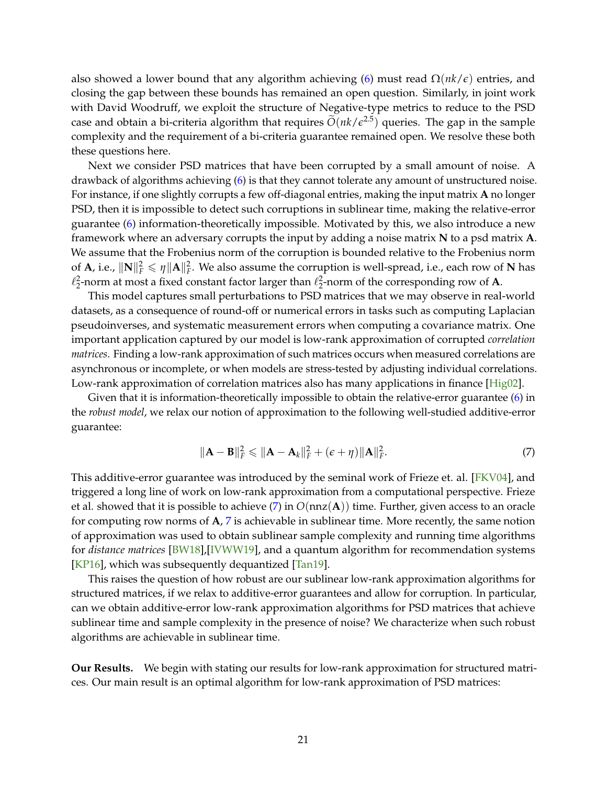<span id="page-23-1"></span>also showed a lower bound that any algorithm achieving [\(6\)](#page-22-2) must read Ω(*nk*/*e*) entries, and closing the gap between these bounds has remained an open question. Similarly, in joint work with David Woodruff, we exploit the structure of Negative-type metrics to reduce to the PSD case and obtain a bi-criteria algorithm that requires  $O(nk/\epsilon^{2.5})$  queries. The gap in the sample complexity and the requirement of a bi-criteria guarantee remained open. We resolve these both these questions here.

Next we consider PSD matrices that have been corrupted by a small amount of noise. A drawback of algorithms achieving [\(6\)](#page-22-2) is that they cannot tolerate any amount of unstructured noise. For instance, if one slightly corrupts a few off-diagonal entries, making the input matrix **A** no longer PSD, then it is impossible to detect such corruptions in sublinear time, making the relative-error guarantee [\(6\)](#page-22-2) information-theoretically impossible. Motivated by this, we also introduce a new framework where an adversary corrupts the input by adding a noise matrix **N** to a psd matrix **A**. We assume that the Frobenius norm of the corruption is bounded relative to the Frobenius norm of **A**, i.e.,  $\|\mathbf{N}\|_F^2 \leq \eta \|\mathbf{A}\|_F^2$ . We also assume the corruption is well-spread, i.e., each row of **N** has  $\ell_2^2$ -norm at most a fixed constant factor larger than  $\ell_2^2$ -norm of the corresponding row of **A**.

This model captures small perturbations to PSD matrices that we may observe in real-world datasets, as a consequence of round-off or numerical errors in tasks such as computing Laplacian pseudoinverses, and systematic measurement errors when computing a covariance matrix. One important application captured by our model is low-rank approximation of corrupted *correlation matrices*. Finding a low-rank approximation of such matrices occurs when measured correlations are asynchronous or incomplete, or when models are stress-tested by adjusting individual correlations. Low-rank approximation of correlation matrices also has many applications in finance [\[Hig02\]](#page-33-8).

Given that it is information-theoretically impossible to obtain the relative-error guarantee [\(6\)](#page-22-2) in the *robust model*, we relax our notion of approximation to the following well-studied additive-error guarantee:

<span id="page-23-0"></span>
$$
\|\mathbf{A} - \mathbf{B}\|_F^2 \leqslant \|\mathbf{A} - \mathbf{A}_k\|_F^2 + (\epsilon + \eta) \|\mathbf{A}\|_F^2.
$$
\n(7)

This additive-error guarantee was introduced by the seminal work of Frieze et. al. [\[FKV04\]](#page-33-9), and triggered a long line of work on low-rank approximation from a computational perspective. Frieze et al. showed that it is possible to achieve [\(7\)](#page-23-0) in *O*(nnz(**A**)) time. Further, given access to an oracle for computing row norms of **A**, [7](#page-23-0) is achievable in sublinear time. More recently, the same notion of approximation was used to obtain sublinear sample complexity and running time algorithms for *distance matrices* [\[BW18\]](#page-31-6),[\[IVWW19\]](#page-34-13), and a quantum algorithm for recommendation systems [\[KP16\]](#page-35-9), which was subsequently dequantized [\[Tan19\]](#page-37-8).

This raises the question of how robust are our sublinear low-rank approximation algorithms for structured matrices, if we relax to additive-error guarantees and allow for corruption. In particular, can we obtain additive-error low-rank approximation algorithms for PSD matrices that achieve sublinear time and sample complexity in the presence of noise? We characterize when such robust algorithms are achievable in sublinear time.

**Our Results.** We begin with stating our results for low-rank approximation for structured matrices. Our main result is an optimal algorithm for low-rank approximation of PSD matrices: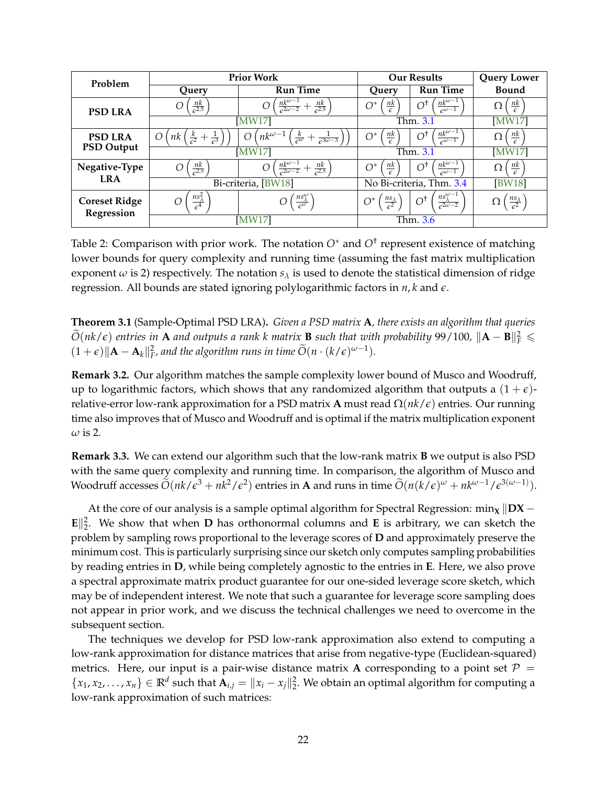<span id="page-24-1"></span>

| Problem                            | <b>Prior Work</b>                                                        |                                                                                             |                                          |                                                                        | <b>Our Results</b>               |  | <b>Query Lower</b> |
|------------------------------------|--------------------------------------------------------------------------|---------------------------------------------------------------------------------------------|------------------------------------------|------------------------------------------------------------------------|----------------------------------|--|--------------------|
|                                    | Query                                                                    | <b>Run Time</b>                                                                             | Query                                    | <b>Run Time</b>                                                        | <b>Bound</b>                     |  |                    |
| <b>PSD LRA</b>                     | $rac{nk}{\epsilon^{2.5}}$                                                | $\frac{n k^{\omega - 1}}{\epsilon^{2\omega - 2}}$<br>$rac{nk}{6^{2.5}}$<br>O                | <u>nk</u><br>$\bigcap^*$<br>$\epsilon$   | $n \frac{nk^{\omega-1}}{k}$<br>ി†<br>$\sqrt{\epsilon^{(\omega-1)}}$    | $\frac{nk}{k}$<br>Ω              |  |                    |
|                                    | [MW17]                                                                   |                                                                                             | Thm. 3.1                                 |                                                                        | [MW17]                           |  |                    |
| <b>PSD LRA</b>                     | $\Omega$<br>$rac{\kappa}{\epsilon^2}$<br>$+\frac{1}{\epsilon^3}$ )<br>пk | $nk^{\omega-1}$<br>$\left( \right)$<br>$\overline{\epsilon^{\omega}}$<br>$\sqrt{3\omega-3}$ | $\frac{nk}{\epsilon}$<br>$\bigcap^*$     | $nk^{\omega-1}$<br>$\bigcap^{\dagger}$<br>$c^{\omega-1}$               | $\frac{nk}{k}$<br>Ω              |  |                    |
| <b>PSD Output</b>                  | <b>MW171</b>                                                             |                                                                                             | Thm. 3.1                                 |                                                                        | [MW17]                           |  |                    |
| Negative-Type                      | $\frac{nk}{\epsilon^{2.5}}$                                              | $\frac{n k^{\omega - 1}}{\epsilon^{2\omega - 2}}$<br>$rac{nk}{\epsilon^{2.5}}$<br>O         | <u>nk</u><br>$\bigcap^*$                 | $n k^{\omega-1}$<br>$\bigcap^{\dagger}$<br>$\epsilon^{\omega-1}$       | <u>nk</u><br>Ω                   |  |                    |
| <b>LRA</b>                         |                                                                          | Bi-criteria, [BW18]                                                                         |                                          | No Bi-criteria, Thm. 3.4                                               | <b>BW18</b>                      |  |                    |
| <b>Coreset Ridge</b><br>Regression | $\frac{n s_\lambda^2}{\epsilon^4}$<br>∩                                  | $rac{nS_{\lambda}^{\omega}}{\epsilon^{\omega}}$                                             | $rac{ns_{\lambda}}{\epsilon^2}$<br>$O^*$ | $ns_{\lambda}^{\omega-1}$<br>$O^{\dagger}$<br>$\frac{\pi}{62\omega-2}$ | $\frac{n s_\lambda}{\epsilon^2}$ |  |                    |
|                                    |                                                                          | [MW17]                                                                                      |                                          | Thm. 3.6                                                               |                                  |  |                    |

Table 2: Comparison with prior work. The notation *O*<sup>∗</sup> and *O*† represent existence of matching lower bounds for query complexity and running time (assuming the fast matrix multiplication exponent  $\omega$  is 2) respectively. The notation  $s_{\lambda}$  is used to denote the statistical dimension of ridge regression. All bounds are stated ignoring polylogarithmic factors in *n*, *k* and *e*.

<span id="page-24-0"></span>**Theorem 3.1** (Sample-Optimal PSD LRA)**.** *Given a PSD matrix* **A***, there exists an algorithm that queries*  $\widetilde{O}(nk/\epsilon)$  *entries in* **A** *and outputs a rank k matrix* **B** *such that with probability* 99/100*,*  $\|\mathbf{A} - \mathbf{B}\|_F^2 \le$  $(1+\epsilon)\|\mathbf{A}-\mathbf{A}_k\|_F^2$ , and the algorithm runs in time  $\widetilde{O}(n\cdot(k/\epsilon)^{\omega-1})$ .

**Remark 3.2.** Our algorithm matches the sample complexity lower bound of Musco and Woodruff, up to logarithmic factors, which shows that any randomized algorithm that outputs a  $(1 + \epsilon)$ relative-error low-rank approximation for a PSD matrix **A** must read Ω(*nk*/*e*) entries. Our running time also improves that of Musco and Woodruff and is optimal if the matrix multiplication exponent *ω* is 2.

**Remark 3.3.** We can extend our algorithm such that the low-rank matrix **B** we output is also PSD with the same query complexity and running time. In comparison, the algorithm of Musco and Woodruff accesses  $\widetilde{O}(nk/\epsilon^3 + nk^2/\epsilon^2)$  entries in **A** and runs in time  $\widetilde{O}(n(k/\epsilon)^{\omega} + nk^{\omega-1}/\epsilon^{3(\omega-1)})$ .

At the core of our analysis is a sample optimal algorithm for Spectral Regression: min<sub>X</sub>  $\|\mathbf{D}X \mathbf{E} \parallel_2^2$ . We show that when **D** has orthonormal columns and **E** is arbitrary, we can sketch the problem by sampling rows proportional to the leverage scores of **D** and approximately preserve the minimum cost. This is particularly surprising since our sketch only computes sampling probabilities by reading entries in **D**, while being completely agnostic to the entries in **E**. Here, we also prove a spectral approximate matrix product guarantee for our one-sided leverage score sketch, which may be of independent interest. We note that such a guarantee for leverage score sampling does not appear in prior work, and we discuss the technical challenges we need to overcome in the subsequent section.

The techniques we develop for PSD low-rank approximation also extend to computing a low-rank approximation for distance matrices that arise from negative-type (Euclidean-squared) metrics. Here, our input is a pair-wise distance matrix **A** corresponding to a point set  $P =$  ${x_1, x_2, \ldots, x_n} \in \mathbb{R}^d$  such that  $A_{i,j} = ||x_i - x_j||_2^2$ . We obtain an optimal algorithm for computing a low-rank approximation of such matrices: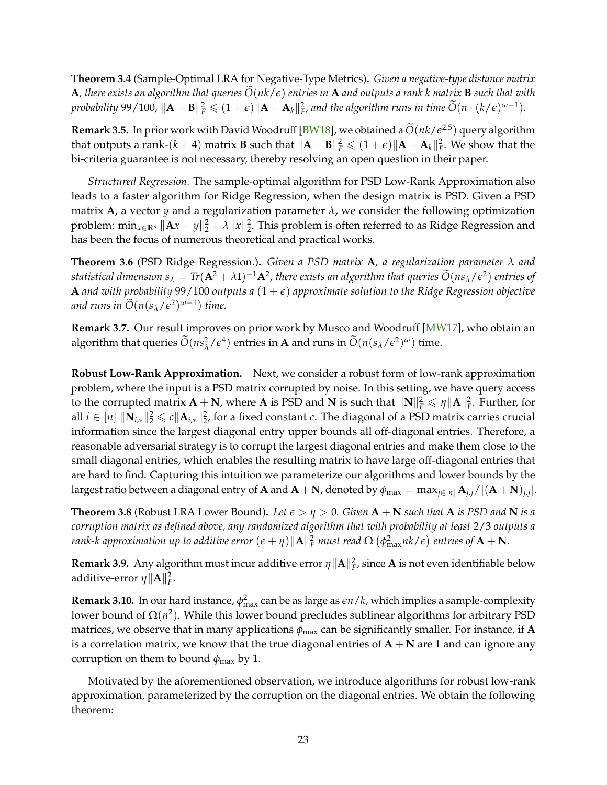<span id="page-25-2"></span><span id="page-25-0"></span>**Theorem 3.4** (Sample-Optimal LRA for Negative-Type Metrics)**.** *Given a negative-type distance matrix* **A**, there exists an algorithm that queries  $\tilde{O}(nk/\epsilon)$  entries in **A** and outputs a rank k matrix **B** such that with probability 99/100,  $\|\mathbf{A} - \mathbf{B}\|_F^2 \leqslant (1+\epsilon)\|\mathbf{A} - \mathbf{A}_k\|_F^2$ , and the algorithm runs in time  $\widetilde{O}(n\cdot (k/\epsilon)^{\omega-1})$ .

**Remark 3.5.** In prior work with David Woodruff [\[BW18\]](#page-31-6), we obtained a  $\tilde{O}(nk/\epsilon^{2.5})$  query algorithm that outputs a rank-( $k + 4$ ) matrix **B** such that  $\|\mathbf{A} - \mathbf{B}\|_F^2 \leqslant (1 + \epsilon) \|\mathbf{A} - \mathbf{A}_k\|_F^2$ . We show that the bi-criteria guarantee is not necessary, thereby resolving an open question in their paper.

*Structured Regression.* The sample-optimal algorithm for PSD Low-Rank Approximation also leads to a faster algorithm for Ridge Regression, when the design matrix is PSD. Given a PSD matrix **A**, a vector *y* and a regularization parameter  $\lambda$ , we consider the following optimization problem:  $\min_{x \in \mathbb{R}^n} \|Ax - y\|_2^2 + \lambda \|x\|_2^2$ . This problem is often referred to as Ridge Regression and has been the focus of numerous theoretical and practical works.

<span id="page-25-1"></span>**Theorem 3.6** (PSD Ridge Regression.)**.** *Given a PSD matrix* **A***, a regularization parameter λ and statistical dimension*  $s_\lambda = Tr(A^2 + \lambda I)^{-1}A^2$ , there exists an algorithm that queries  $\widetilde{O}(ns_\lambda/\epsilon^2)$  entries of **A** and with probability 99/100 outputs a  $(1 + \epsilon)$  approximate solution to the Ridge Regression objective and runs in  $\widetilde{O}(n(s_{\lambda}/\epsilon^2)^{\omega-1})$  time.

**Remark 3.7.** Our result improves on prior work by Musco and Woodruff [\[MW17\]](#page-36-4), who obtain an algorithm that queries  $\widetilde{O}(ns_\lambda^2/\epsilon^4)$  entries in **A** and runs in  $\widetilde{O}(n(s_\lambda/\epsilon^2)^\omega)$  time.

**Robust Low-Rank Approximation.** Next, we consider a robust form of low-rank approximation problem, where the input is a PSD matrix corrupted by noise. In this setting, we have query access to the corrupted matrix  $A + N$ , where A is PSD and N is such that  $\|N\|_F^2 \leq \eta \|A\|_F^2$ . Further, for all  $i ∈ [n]$   $\|\mathbf{N}_{i,*}\|_2^2 ≤ c \|\mathbf{A}_{i,*}\|_2^2$ , for a fixed constant  $c$ . The diagonal of a PSD matrix carries crucial information since the largest diagonal entry upper bounds all off-diagonal entries. Therefore, a reasonable adversarial strategy is to corrupt the largest diagonal entries and make them close to the small diagonal entries, which enables the resulting matrix to have large off-diagonal entries that are hard to find. Capturing this intuition we parameterize our algorithms and lower bounds by the largest ratio between a diagonal entry of  ${\bf A}$  and  ${\bf A}+{\bf N}$ , denoted by  $\phi_{\max}=\max_{j\in[n]}\hat{\bf A}_{j,j}/|({\bf A}+{\bf N})_{j,j}|.$ 

**Theorem 3.8** (Robust LRA Lower Bound). Let  $\epsilon > \eta > 0$ . Given  $A + N$  such that A is PSD and N is a *corruption matrix as defined above, any randomized algorithm that with probability at least* 2/3 *outputs a*  $r$ ank-k approximation up to additive error  $(\epsilon + \eta) \|\mathbf{A}\|_F^2$  must read  $\Omega$   $\left(\phi_{\max}^2 n k/\epsilon\right)$  entries of  $\mathbf{A}+\mathbf{N}$ .

**Remark 3.9.** Any algorithm must incur additive error  $\eta \|A\|_F^2$ , since  $A$  is not even identifiable below additive-error  $\eta \|\mathbf{A}\|_F^2$ .

**Remark 3.10.** In our hard instance,  $\phi_{\text{max}}^2$  can be as large as  $\epsilon n/k$ , which implies a sample-complexity lower bound of  $\Omega(n^2)$ . While this lower bound precludes sublinear algorithms for arbitrary PSD matrices, we observe that in many applications  $\phi_{\text{max}}$  can be significantly smaller. For instance, if **A** is a correlation matrix, we know that the true diagonal entries of  $A + N$  are 1 and can ignore any corruption on them to bound  $\phi_{\text{max}}$  by 1.

Motivated by the aforementioned observation, we introduce algorithms for robust low-rank approximation, parameterized by the corruption on the diagonal entries. We obtain the following theorem: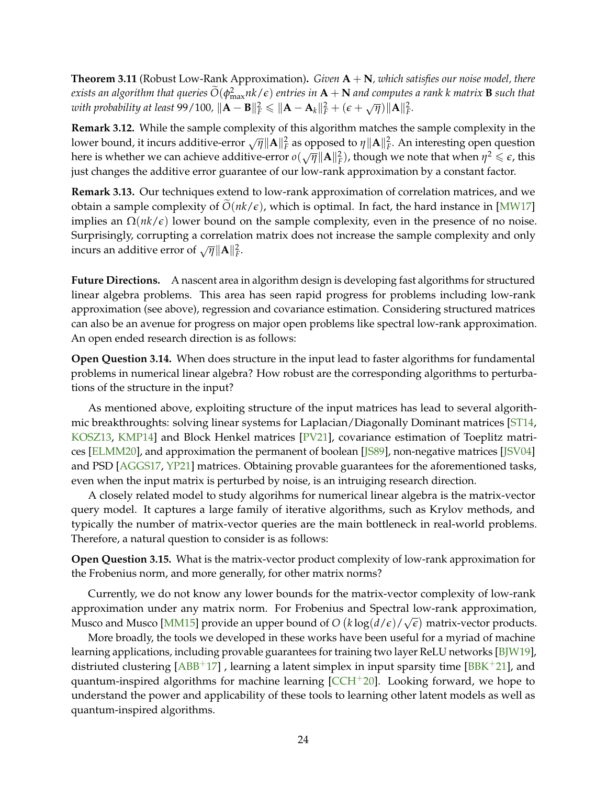<span id="page-26-0"></span>**Theorem 3.11** (Robust Low-Rank Approximation)**.** *Given* **A** + **N***, which satisfies our noise model, there*  $e$ *xists an algorithm that queries*  $\tilde{O}(\phi_{\text{max}}^2 n k / \epsilon)$  *entries in*  $A + N$  *and computes a rank k matrix* **B** *such that with probability at least* 99/100,  $\|\mathbf{A} - \mathbf{B}\|_F^2 \le \|\mathbf{A} - \mathbf{A}_k\|_F^2 + (\epsilon + \sqrt{\eta})\|\mathbf{A}\|_F^2$ .

**Remark 3.12.** While the sample complexity of this algorithm matches the sample complexity in the lower bound, it incurs additive-error  $\sqrt{\eta} ||\mathbf{A}||_F^2$  as opposed to  $\eta ||\mathbf{A}||_F^2$ . An interesting open question here is whether we can achieve additive-error  $o(\sqrt{\eta} ||\mathbf{A}||_F^2)$ , though we note that when  $\eta^2 \leq \epsilon$ , this just changes the additive error guarantee of our low-rank approximation by a constant factor.

**Remark 3.13.** Our techniques extend to low-rank approximation of correlation matrices, and we obtain a sample complexity of  $O(nk/\epsilon)$ , which is optimal. In fact, the hard instance in [\[MW17\]](#page-36-4) implies an  $\Omega(nk/\epsilon)$  lower bound on the sample complexity, even in the presence of no noise. Surprisingly, corrupting a correlation matrix does not increase the sample complexity and only  $\frac{1}{2}$  incurs an additive error of  $\sqrt{\eta} ||A||_F^2$ .

**Future Directions.** A nascent area in algorithm design is developing fast algorithms for structured linear algebra problems. This area has seen rapid progress for problems including low-rank approximation (see above), regression and covariance estimation. Considering structured matrices can also be an avenue for progress on major open problems like spectral low-rank approximation. An open ended research direction is as follows:

**Open Question 3.14.** When does structure in the input lead to faster algorithms for fundamental problems in numerical linear algebra? How robust are the corresponding algorithms to perturbations of the structure in the input?

As mentioned above, exploiting structure of the input matrices has lead to several algorithmic breakthroughts: solving linear systems for Laplacian/Diagonally Dominant matrices [\[ST14,](#page-37-2) [KOSZ13,](#page-35-3) [KMP14\]](#page-34-6) and Block Henkel matrices [\[PV21\]](#page-36-5), covariance estimation of Toeplitz matrices [\[ELMM20\]](#page-33-3), and approximation the permanent of boolean [\[JS89\]](#page-34-7), non-negative matrices [\[JSV04\]](#page-34-8) and PSD [\[AGGS17,](#page-30-6) [YP21\]](#page-38-2) matrices. Obtaining provable guarantees for the aforementioned tasks, even when the input matrix is perturbed by noise, is an intruiging research direction.

A closely related model to study algorihms for numerical linear algebra is the matrix-vector query model. It captures a large family of iterative algorithms, such as Krylov methods, and typically the number of matrix-vector queries are the main bottleneck in real-world problems. Therefore, a natural question to consider is as follows:

**Open Question 3.15.** What is the matrix-vector product complexity of low-rank approximation for the Frobenius norm, and more generally, for other matrix norms?

Currently, we do not know any lower bounds for the matrix-vector complexity of low-rank approximation under any matrix norm. For Frobenius and Spectral low-rank approximation, Musco and Musco [\[MM15\]](#page-35-10) provide an upper bound of  $O\left(k\log(d/\epsilon)/\sqrt{\epsilon}\right)$  matrix-vector products.

More broadly, the tools we developed in these works have been useful for a myriad of machine learning applications, including provable guarantees for training two layer ReLU networks [\[BJW19\]](#page-31-11), distriuted clustering  $[ABB^+17]$  $[ABB^+17]$ , learning a latent simplex in input sparsity time  $[BBK^+21]$  $[BBK^+21]$ , and quantum-inspired algorithms for machine learning  $[CCH<sup>+</sup>20]$  $[CCH<sup>+</sup>20]$ . Looking forward, we hope to understand the power and applicability of these tools to learning other latent models as well as quantum-inspired algorithms.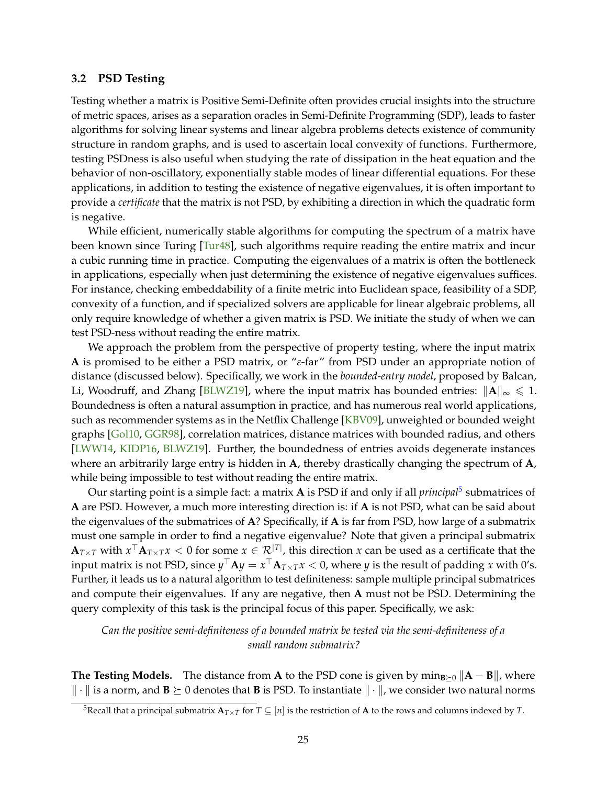#### <span id="page-27-2"></span><span id="page-27-0"></span>**3.2 PSD Testing**

Testing whether a matrix is Positive Semi-Definite often provides crucial insights into the structure of metric spaces, arises as a separation oracles in Semi-Definite Programming (SDP), leads to faster algorithms for solving linear systems and linear algebra problems detects existence of community structure in random graphs, and is used to ascertain local convexity of functions. Furthermore, testing PSDness is also useful when studying the rate of dissipation in the heat equation and the behavior of non-oscillatory, exponentially stable modes of linear differential equations. For these applications, in addition to testing the existence of negative eigenvalues, it is often important to provide a *certificate* that the matrix is not PSD, by exhibiting a direction in which the quadratic form is negative.

While efficient, numerically stable algorithms for computing the spectrum of a matrix have been known since Turing [\[Tur48\]](#page-37-12), such algorithms require reading the entire matrix and incur a cubic running time in practice. Computing the eigenvalues of a matrix is often the bottleneck in applications, especially when just determining the existence of negative eigenvalues suffices. For instance, checking embeddability of a finite metric into Euclidean space, feasibility of a SDP, convexity of a function, and if specialized solvers are applicable for linear algebraic problems, all only require knowledge of whether a given matrix is PSD. We initiate the study of when we can test PSD-ness without reading the entire matrix.

We approach the problem from the perspective of property testing, where the input matrix **A** is promised to be either a PSD matrix, or "*ε*-far" from PSD under an appropriate notion of distance (discussed below). Specifically, we work in the *bounded-entry model*, proposed by Balcan, Li, Woodruff, and Zhang [\[BLWZ19\]](#page-31-12), where the input matrix has bounded entries:  $\|\mathbf{A}\|_{\infty} \leq 1$ . Boundedness is often a natural assumption in practice, and has numerous real world applications, such as recommender systems as in the Netflix Challenge [\[KBV09\]](#page-34-14), unweighted or bounded weight graphs [\[Gol10,](#page-33-10) [GGR98\]](#page-33-11), correlation matrices, distance matrices with bounded radius, and others [\[LWW14,](#page-35-11) [KIDP16,](#page-34-15) [BLWZ19\]](#page-31-12). Further, the boundedness of entries avoids degenerate instances where an arbitrarily large entry is hidden in **A**, thereby drastically changing the spectrum of **A**, while being impossible to test without reading the entire matrix.

Our starting point is a simple fact: a matrix **A** is PSD if and only if all *principal*[5](#page-27-1) submatrices of **A** are PSD. However, a much more interesting direction is: if **A** is not PSD, what can be said about the eigenvalues of the submatrices of **A**? Specifically, if **A** is far from PSD, how large of a submatrix must one sample in order to find a negative eigenvalue? Note that given a principal submatrix  ${\bf A}_{T\times T}$  with  $x^\top{\bf A}_{T\times T}x < 0$  for some  $x\in {\cal R}^{|T|}$ , this direction  $x$  can be used as a certificate that the input matrix is not PSD, since  $y^\top A y = x^\top A_{T\times T} x < 0$ , where  $y$  is the result of padding  $x$  with 0's. Further, it leads us to a natural algorithm to test definiteness: sample multiple principal submatrices and compute their eigenvalues. If any are negative, then **A** must not be PSD. Determining the query complexity of this task is the principal focus of this paper. Specifically, we ask:

*Can the positive semi-definiteness of a bounded matrix be tested via the semi-definiteness of a small random submatrix?*

**The Testing Models.** The distance from **A** to the PSD cone is given by min<sub>B≻0</sub>  $\|\mathbf{A} - \mathbf{B}\|$ , where  $\|\cdot\|$  is a norm, and  $\mathbf{B} \succeq 0$  denotes that **B** is PSD. To instantiate  $\|\cdot\|$ , we consider two natural norms

<span id="page-27-1"></span><sup>&</sup>lt;sup>5</sup>Recall that a principal submatrix  $\mathbf{A}_{T\times T}$  for  $T \subseteq [n]$  is the restriction of **A** to the rows and columns indexed by *T*.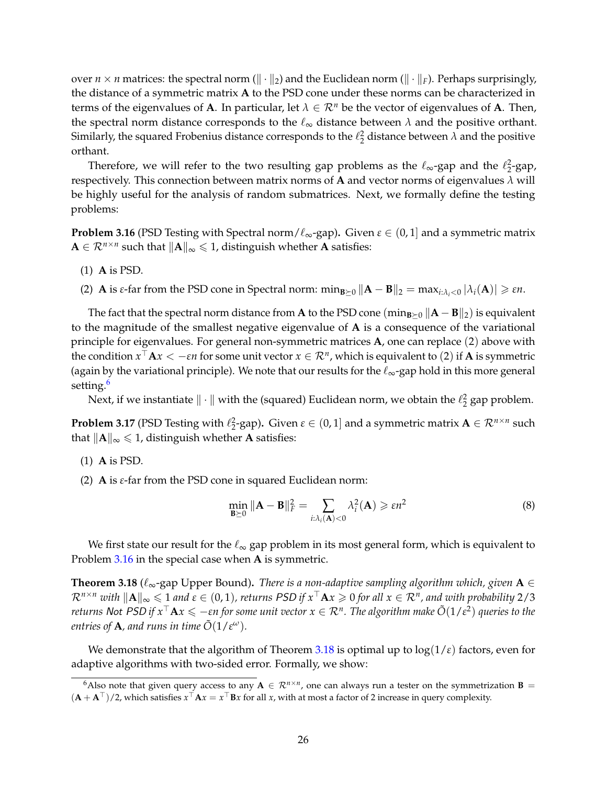over  $n \times n$  matrices: the spectral norm ( $\|\cdot\|_2$ ) and the Euclidean norm ( $\|\cdot\|_F$ ). Perhaps surprisingly, the distance of a symmetric matrix **A** to the PSD cone under these norms can be characterized in terms of the eigenvalues of **A**. In particular, let  $\lambda \in \mathbb{R}^n$  be the vector of eigenvalues of **A**. Then, the spectral norm distance corresponds to the  $\ell_{\infty}$  distance between  $\lambda$  and the positive orthant. Similarly, the squared Frobenius distance corresponds to the  $\ell_2^2$  distance between  $\lambda$  and the positive orthant.

Therefore, we will refer to the two resulting gap problems as the  $\ell_{\infty}$ -gap and the  $\ell_2^2$ -gap, respectively. This connection between matrix norms of **A** and vector norms of eigenvalues  $\lambda$  will be highly useful for the analysis of random submatrices. Next, we formally define the testing problems:

<span id="page-28-2"></span>**Problem 3.16** (PSD Testing with Spectral norm/ $\ell_{\infty}$ -gap). Given  $\varepsilon \in (0,1]$  and a symmetric matrix  $\mathbf{A} \in \mathcal{R}^{n \times n}$  such that  $\|\mathbf{A}\|_{\infty} \leq 1$ , distinguish whether **A** satisfies:

- (1) **A** is PSD.
- (2) **A** is *ε*-far from the PSD cone in Spectral norm:  $\min_{\mathbf{B}\succ0} \|\mathbf{A} \mathbf{B}\|_2 = \max_{i:\lambda_i<0} |\lambda_i(\mathbf{A})| \geq \varepsilon n$ .

The fact that the spectral norm distance from **A** to the PSD cone (min<sub>B≻0</sub>  $\|\mathbf{A} - \mathbf{B}\|_2$ ) is equivalent to the magnitude of the smallest negative eigenvalue of **A** is a consequence of the variational principle for eigenvalues. For general non-symmetric matrices **A**, one can replace (2) above with the condition  $x^\top {\bf A} x < -\varepsilon n$  for some unit vector  $x\in {\cal R}^n$ , which is equivalent to (2) if  ${\bf A}$  is symmetric (again by the variational principle). We note that our results for the  $\ell_{\infty}$ -gap hold in this more general setting.<sup>[6](#page-28-1)</sup>

Next, if we instantiate  $\|\cdot\|$  with the (squared) Euclidean norm, we obtain the  $\ell_2^2$  gap problem.

**Problem 3.17** (PSD Testing with  $\ell_2^2$ -gap). Given  $\varepsilon \in (0, 1]$  and a symmetric matrix  $A \in \mathcal{R}^{n \times n}$  such that  $\|\mathbf{A}\|_{\infty} \leq 1$ , distinguish whether **A** satisfies:

- (1) **A** is PSD.
- (2) **A** is *ε*-far from the PSD cone in squared Euclidean norm:

<span id="page-28-0"></span>
$$
\min_{\mathbf{B}\succeq 0} \|\mathbf{A} - \mathbf{B}\|_{F}^{2} = \sum_{i:\lambda_{i}(\mathbf{A})<0} \lambda_{i}^{2}(\mathbf{A}) \geqslant \varepsilon n^{2}
$$
\n(8)

We first state our result for the  $\ell_{\infty}$  gap problem in its most general form, which is equivalent to Problem [3.16](#page-28-2) in the special case when **A** is symmetric.

<span id="page-28-3"></span>**Theorem 3.18** ( $\ell_{\infty}$ -gap Upper Bound). *There is a non-adaptive sampling algorithm which, given*  $A \in$  $\mathcal{R}^{n\times n}$  with  $\|\mathbf{A}\|_\infty\leqslant 1$  and  $\varepsilon\in(0,1)$ , returns PSD if  $x^\top\mathbf{A} x\geqslant 0$  for all  $x\in\mathcal{R}^n$ , and with probability 2/3  $t$  *returns <code>Not PSD</code> if*  $x^\top {\bf A} x\leqslant -\varepsilon n$  *for some unit vector*  $x\in {\cal R}^n.$  *The algorithm make*  $\tilde O(1/\varepsilon^2)$  *queries to the entries of A, and runs in time*  $\tilde{O}(1/\epsilon^{\omega})$ *.* 

We demonstrate that the algorithm of Theorem [3.18](#page-28-3) is optimal up to  $log(1/\epsilon)$  factors, even for adaptive algorithms with two-sided error. Formally, we show:

<span id="page-28-1"></span><sup>&</sup>lt;sup>6</sup>Also note that given query access to any  $A \in \mathcal{R}^{n \times n}$ , one can always run a tester on the symmetrization  $B =$  $(A + A^{\top})/2$ , which satisfies  $x^{\top}Ax = x^{\top}Bx$  for all *x*, with at most a factor of 2 increase in query complexity.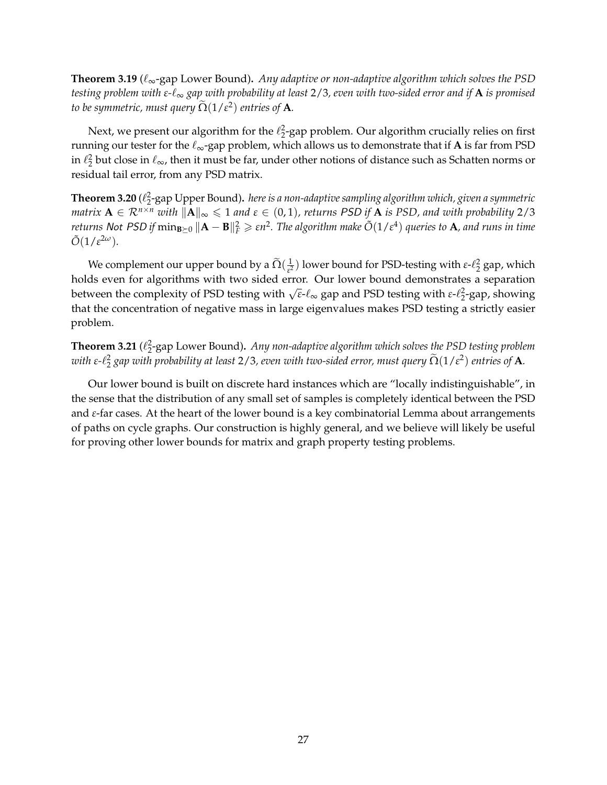**Theorem 3.19** ( $\ell_{\infty}$ -gap Lower Bound). *Any adaptive or non-adaptive algorithm which solves the PSD testing problem with ε-*`<sup>∞</sup> *gap with probability at least* 2/3*, even with two-sided error and if* **A** *is promised to be symmetric, must query*  $\tilde{\Omega}(1/\varepsilon^2)$  *entries of* **A***.* 

Next, we present our algorithm for the  $\ell_2^2$ -gap problem. Our algorithm crucially relies on first running our tester for the  $\ell_{\infty}$ -gap problem, which allows us to demonstrate that if **A** is far from PSD in  $\ell_2^2$  but close in  $\ell_\infty$ , then it must be far, under other notions of distance such as Schatten norms or residual tail error, from any PSD matrix.

 ${\bf Theorem~3.20}$  ( $\ell_2^2$ -gap Upper Bound). *here is a non-adaptive sampling algorithm which, given a symmetric matrix*  $A \in \mathbb{R}^{n \times n}$  *with*  $||A||_{\infty} \leq 1$  *and*  $\varepsilon \in (0,1)$ *, returns* PSD *if* A *is PSD, and with probability* 2/3  $R$  *returns <code>Not PSD</code> if*  $\min_{\mathbf{B}\succeq0}\|\mathbf{A}-\mathbf{B}\|_F^2\geqslant \varepsilon n^2.$  *The algorithm make*  $\tilde{O}(1/\varepsilon^4)$  *queries to A, and runs in time*  $\tilde{O}(1/\varepsilon^{2\omega}).$ 

We complement our upper bound by a  $\Omega(\frac{1}{\varepsilon^2})$  $\frac{1}{\epsilon^2}$ ) lower bound for PSD-testing with *ε*- $\ell_2^2$  gap, which holds even for algorithms with two sided error. Our lower bound demonstrates a separation between the complexity of PSD testing with  $\sqrt{\varepsilon}$ - $\ell_{\infty}$  gap and PSD testing with  $\varepsilon$ - $\ell_2^2$ -gap, showing that the concentration of negative mass in large eigenvalues makes PSD testing a strictly easier problem.

**Theorem 3.21** ( $\ell_2^2$ -gap Lower Bound). *Any non-adaptive algorithm which solves the PSD testing problem with ε-* $\ell_2^2$  *gap with probability at least 2/3, even with two-sided error, must query*  $\tilde{\Omega}(1/\varepsilon^2)$  *entries of A.* 

Our lower bound is built on discrete hard instances which are "locally indistinguishable", in the sense that the distribution of any small set of samples is completely identical between the PSD and *ε*-far cases. At the heart of the lower bound is a key combinatorial Lemma about arrangements of paths on cycle graphs. Our construction is highly general, and we believe will likely be useful for proving other lower bounds for matrix and graph property testing problems.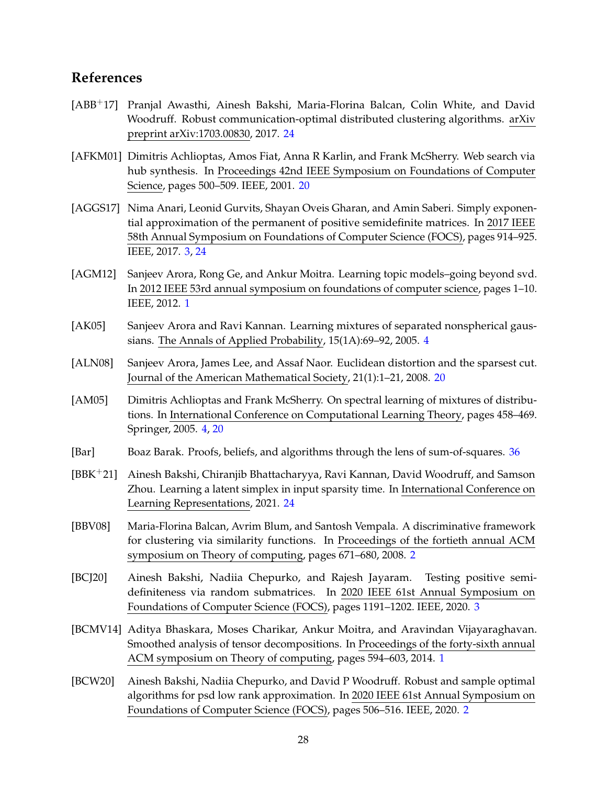## <span id="page-30-0"></span>**References**

- <span id="page-30-11"></span>[ABB+17] Pranjal Awasthi, Ainesh Bakshi, Maria-Florina Balcan, Colin White, and David Woodruff. Robust communication-optimal distributed clustering algorithms. arXiv preprint arXiv:1703.00830, 2017. [24](#page-26-0)
- <span id="page-30-9"></span>[AFKM01] Dimitris Achlioptas, Amos Fiat, Anna R Karlin, and Frank McSherry. Web search via hub synthesis. In Proceedings 42nd IEEE Symposium on Foundations of Computer Science, pages 500–509. IEEE, 2001. [20](#page-22-3)
- <span id="page-30-6"></span>[AGGS17] Nima Anari, Leonid Gurvits, Shayan Oveis Gharan, and Amin Saberi. Simply exponential approximation of the permanent of positive semidefinite matrices. In 2017 IEEE 58th Annual Symposium on Foundations of Computer Science (FOCS), pages 914–925. IEEE, 2017. [3,](#page-2-0) [24](#page-26-0)
- <span id="page-30-1"></span>[AGM12] Sanjeev Arora, Rong Ge, and Ankur Moitra. Learning topic models–going beyond svd. In 2012 IEEE 53rd annual symposium on foundations of computer science, pages 1–10. IEEE, 2012. [1](#page-0-0)
- <span id="page-30-7"></span>[AK05] Sanjeev Arora and Ravi Kannan. Learning mixtures of separated nonspherical gaussians. The Annals of Applied Probability, 15(1A):69–92, 2005. [4](#page-6-2)
- <span id="page-30-10"></span>[ALN08] Sanjeev Arora, James Lee, and Assaf Naor. Euclidean distortion and the sparsest cut. Journal of the American Mathematical Society, 21(1):1–21, 2008. [20](#page-22-3)
- <span id="page-30-8"></span>[AM05] Dimitris Achlioptas and Frank McSherry. On spectral learning of mixtures of distributions. In International Conference on Computational Learning Theory, pages 458–469. Springer, 2005. [4,](#page-6-2) [20](#page-22-3)
- <span id="page-30-13"></span>[Bar] Boaz Barak. Proofs, beliefs, and algorithms through the lens of sum-of-squares. [36](#page-38-4)
- <span id="page-30-12"></span>[BBK+21] Ainesh Bakshi, Chiranjib Bhattacharyya, Ravi Kannan, David Woodruff, and Samson Zhou. Learning a latent simplex in input sparsity time. In International Conference on Learning Representations, 2021. [24](#page-26-0)
- <span id="page-30-3"></span>[BBV08] Maria-Florina Balcan, Avrim Blum, and Santosh Vempala. A discriminative framework for clustering via similarity functions. In Proceedings of the fortieth annual ACM symposium on Theory of computing, pages 671–680, 2008. [2](#page-1-0)
- <span id="page-30-5"></span>[BCJ20] Ainesh Bakshi, Nadiia Chepurko, and Rajesh Jayaram. Testing positive semidefiniteness via random submatrices. In 2020 IEEE 61st Annual Symposium on Foundations of Computer Science (FOCS), pages 1191–1202. IEEE, 2020. [3](#page-2-0)
- <span id="page-30-2"></span>[BCMV14] Aditya Bhaskara, Moses Charikar, Ankur Moitra, and Aravindan Vijayaraghavan. Smoothed analysis of tensor decompositions. In Proceedings of the forty-sixth annual ACM symposium on Theory of computing, pages 594–603, 2014. [1](#page-0-0)
- <span id="page-30-4"></span>[BCW20] Ainesh Bakshi, Nadiia Chepurko, and David P Woodruff. Robust and sample optimal algorithms for psd low rank approximation. In 2020 IEEE 61st Annual Symposium on Foundations of Computer Science (FOCS), pages 506–516. IEEE, 2020. [2](#page-1-0)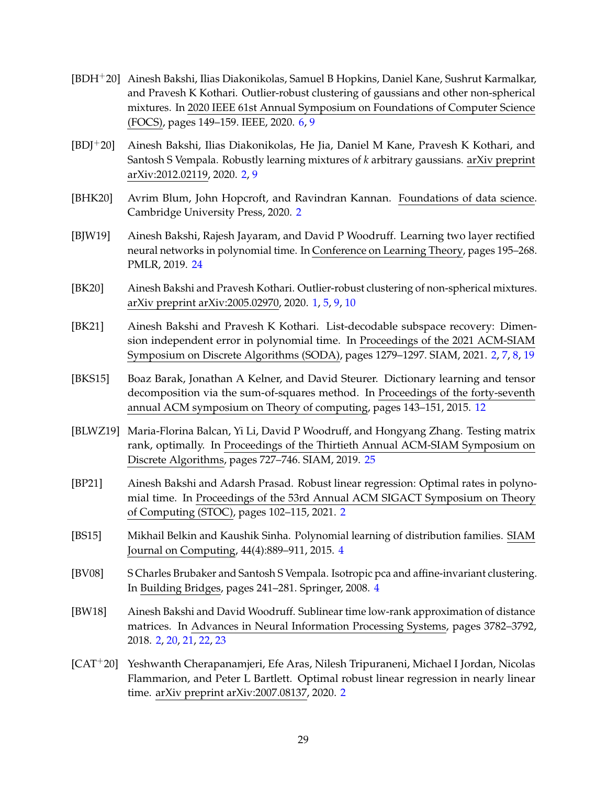- <span id="page-31-9"></span>[BDH+20] Ainesh Bakshi, Ilias Diakonikolas, Samuel B Hopkins, Daniel Kane, Sushrut Karmalkar, and Pravesh K Kothari. Outlier-robust clustering of gaussians and other non-spherical mixtures. In 2020 IEEE 61st Annual Symposium on Foundations of Computer Science (FOCS), pages 149–159. IEEE, 2020. [6,](#page-8-2) [9](#page-11-2)
- <span id="page-31-1"></span>[BDJ+20] Ainesh Bakshi, Ilias Diakonikolas, He Jia, Daniel M Kane, Pravesh K Kothari, and Santosh S Vempala. Robustly learning mixtures of *k* arbitrary gaussians. arXiv preprint arXiv:2012.02119, 2020. [2,](#page-1-0) [9](#page-11-2)
- <span id="page-31-5"></span>[BHK20] Avrim Blum, John Hopcroft, and Ravindran Kannan. Foundations of data science. Cambridge University Press, 2020. [2](#page-1-0)
- <span id="page-31-11"></span>[BJW19] Ainesh Bakshi, Rajesh Jayaram, and David P Woodruff. Learning two layer rectified neural networks in polynomial time. In Conference on Learning Theory, pages 195–268. PMLR, 2019. [24](#page-26-0)
- <span id="page-31-0"></span>[BK20] Ainesh Bakshi and Pravesh Kothari. Outlier-robust clustering of non-spherical mixtures. arXiv preprint arXiv:2005.02970, 2020. [1,](#page-0-0) [5,](#page-7-3) [9,](#page-11-2) [10](#page-12-1)
- <span id="page-31-4"></span>[BK21] Ainesh Bakshi and Pravesh K Kothari. List-decodable subspace recovery: Dimension independent error in polynomial time. In Proceedings of the 2021 ACM-SIAM Symposium on Discrete Algorithms (SODA), pages 1279–1297. SIAM, 2021. [2,](#page-1-0) [7,](#page-9-2) [8,](#page-10-1) [19](#page-21-0)
- <span id="page-31-10"></span>[BKS15] Boaz Barak, Jonathan A Kelner, and David Steurer. Dictionary learning and tensor decomposition via the sum-of-squares method. In Proceedings of the forty-seventh annual ACM symposium on Theory of computing, pages 143–151, 2015. [12](#page-14-0)
- <span id="page-31-12"></span>[BLWZ19] Maria-Florina Balcan, Yi Li, David P Woodruff, and Hongyang Zhang. Testing matrix rank, optimally. In Proceedings of the Thirtieth Annual ACM-SIAM Symposium on Discrete Algorithms, pages 727–746. SIAM, 2019. [25](#page-27-2)
- <span id="page-31-2"></span>[BP21] Ainesh Bakshi and Adarsh Prasad. Robust linear regression: Optimal rates in polynomial time. In Proceedings of the 53rd Annual ACM SIGACT Symposium on Theory of Computing (STOC), pages 102–115, 2021. [2](#page-1-0)
- <span id="page-31-8"></span>[BS15] Mikhail Belkin and Kaushik Sinha. Polynomial learning of distribution families. SIAM Journal on Computing, 44(4):889–911, 2015. [4](#page-6-2)
- <span id="page-31-7"></span>[BV08] S Charles Brubaker and Santosh S Vempala. Isotropic pca and affine-invariant clustering. In Building Bridges, pages 241–281. Springer, 2008. [4](#page-6-2)
- <span id="page-31-6"></span>[BW18] Ainesh Bakshi and David Woodruff. Sublinear time low-rank approximation of distance matrices. In Advances in Neural Information Processing Systems, pages 3782–3792, 2018. [2,](#page-1-0) [20,](#page-22-3) [21,](#page-23-1) [22,](#page-24-1) [23](#page-25-2)
- <span id="page-31-3"></span>[CAT+20] Yeshwanth Cherapanamjeri, Efe Aras, Nilesh Tripuraneni, Michael I Jordan, Nicolas Flammarion, and Peter L Bartlett. Optimal robust linear regression in nearly linear time. arXiv preprint arXiv:2007.08137, 2020. [2](#page-1-0)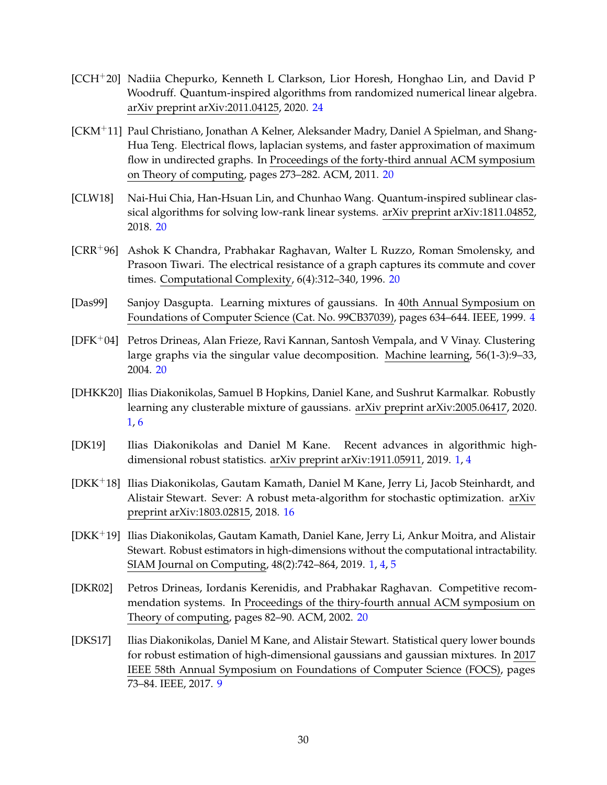- <span id="page-32-11"></span>[CCH+20] Nadiia Chepurko, Kenneth L Clarkson, Lior Horesh, Honghao Lin, and David P Woodruff. Quantum-inspired algorithms from randomized numerical linear algebra. arXiv preprint arXiv:2011.04125, 2020. [24](#page-26-0)
- <span id="page-32-10"></span>[CKM+11] Paul Christiano, Jonathan A Kelner, Aleksander Madry, Daniel A Spielman, and Shang-Hua Teng. Electrical flows, laplacian systems, and faster approximation of maximum flow in undirected graphs. In Proceedings of the forty-third annual ACM symposium on Theory of computing, pages 273–282. ACM, 2011. [20](#page-22-3)
- <span id="page-32-8"></span>[CLW18] Nai-Hui Chia, Han-Hsuan Lin, and Chunhao Wang. Quantum-inspired sublinear classical algorithms for solving low-rank linear systems. arXiv preprint arXiv:1811.04852, 2018. [20](#page-22-3)
- <span id="page-32-9"></span>[CRR+96] Ashok K Chandra, Prabhakar Raghavan, Walter L Ruzzo, Roman Smolensky, and Prasoon Tiwari. The electrical resistance of a graph captures its commute and cover times. Computational Complexity, 6(4):312–340, 1996. [20](#page-22-3)
- <span id="page-32-3"></span>[Das99] Sanjoy Dasgupta. Learning mixtures of gaussians. In 40th Annual Symposium on Foundations of Computer Science (Cat. No. 99CB37039), pages 634–644. IEEE, 1999. [4](#page-6-2)
- <span id="page-32-6"></span>[DFK+04] Petros Drineas, Alan Frieze, Ravi Kannan, Santosh Vempala, and V Vinay. Clustering large graphs via the singular value decomposition. Machine learning, 56(1-3):9–33, 2004. [20](#page-22-3)
- <span id="page-32-2"></span>[DHKK20] Ilias Diakonikolas, Samuel B Hopkins, Daniel Kane, and Sushrut Karmalkar. Robustly learning any clusterable mixture of gaussians. arXiv preprint arXiv:2005.06417, 2020. [1,](#page-0-0) [6](#page-8-2)
- <span id="page-32-1"></span>[DK19] Ilias Diakonikolas and Daniel M Kane. Recent advances in algorithmic highdimensional robust statistics. arXiv preprint arXiv:1911.05911, 2019. [1,](#page-0-0) [4](#page-6-2)
- <span id="page-32-5"></span>[DKK+18] Ilias Diakonikolas, Gautam Kamath, Daniel M Kane, Jerry Li, Jacob Steinhardt, and Alistair Stewart. Sever: A robust meta-algorithm for stochastic optimization. arXiv preprint arXiv:1803.02815, 2018. [16](#page-18-2)
- <span id="page-32-0"></span>[DKK+19] Ilias Diakonikolas, Gautam Kamath, Daniel Kane, Jerry Li, Ankur Moitra, and Alistair Stewart. Robust estimators in high-dimensions without the computational intractability. SIAM Journal on Computing, 48(2):742–864, 2019. [1,](#page-0-0) [4,](#page-6-2) [5](#page-7-3)
- <span id="page-32-7"></span>[DKR02] Petros Drineas, Iordanis Kerenidis, and Prabhakar Raghavan. Competitive recommendation systems. In Proceedings of the thiry-fourth annual ACM symposium on Theory of computing, pages 82–90. ACM, 2002. [20](#page-22-3)
- <span id="page-32-4"></span>[DKS17] Ilias Diakonikolas, Daniel M Kane, and Alistair Stewart. Statistical query lower bounds for robust estimation of high-dimensional gaussians and gaussian mixtures. In 2017 IEEE 58th Annual Symposium on Foundations of Computer Science (FOCS), pages 73–84. IEEE, 2017. [9](#page-11-2)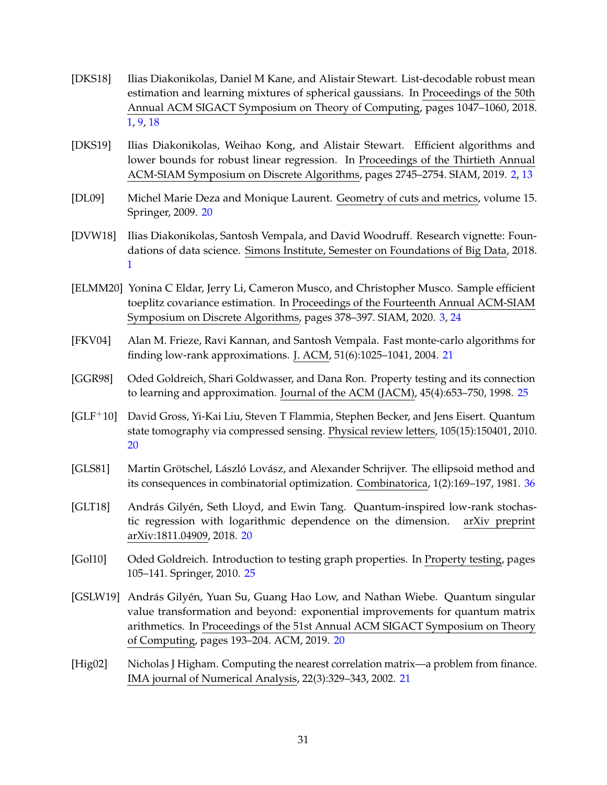- <span id="page-33-1"></span>[DKS18] Ilias Diakonikolas, Daniel M Kane, and Alistair Stewart. List-decodable robust mean estimation and learning mixtures of spherical gaussians. In Proceedings of the 50th Annual ACM SIGACT Symposium on Theory of Computing, pages 1047–1060, 2018. [1,](#page-0-0) [9,](#page-11-2) [18](#page-20-1)
- <span id="page-33-2"></span>[DKS19] Ilias Diakonikolas, Weihao Kong, and Alistair Stewart. Efficient algorithms and lower bounds for robust linear regression. In Proceedings of the Thirtieth Annual ACM-SIAM Symposium on Discrete Algorithms, pages 2745–2754. SIAM, 2019. [2,](#page-1-0) [13](#page-15-1)
- <span id="page-33-7"></span>[DL09] Michel Marie Deza and Monique Laurent. Geometry of cuts and metrics, volume 15. Springer, 2009. [20](#page-22-3)
- <span id="page-33-0"></span>[DVW18] Ilias Diakonikolas, Santosh Vempala, and David Woodruff. Research vignette: Foundations of data science. Simons Institute, Semester on Foundations of Big Data, 2018. [1](#page-0-0)
- <span id="page-33-3"></span>[ELMM20] Yonina C Eldar, Jerry Li, Cameron Musco, and Christopher Musco. Sample efficient toeplitz covariance estimation. In Proceedings of the Fourteenth Annual ACM-SIAM Symposium on Discrete Algorithms, pages 378–397. SIAM, 2020. [3,](#page-2-0) [24](#page-26-0)
- <span id="page-33-9"></span>[FKV04] Alan M. Frieze, Ravi Kannan, and Santosh Vempala. Fast monte-carlo algorithms for finding low-rank approximations. J. ACM, 51(6):1025–1041, 2004. [21](#page-23-1)
- <span id="page-33-11"></span>[GGR98] Oded Goldreich, Shari Goldwasser, and Dana Ron. Property testing and its connection to learning and approximation. Journal of the ACM (JACM), 45(4):653–750, 1998. [25](#page-27-2)
- <span id="page-33-6"></span>[GLF+10] David Gross, Yi-Kai Liu, Steven T Flammia, Stephen Becker, and Jens Eisert. Quantum state tomography via compressed sensing. Physical review letters, 105(15):150401, 2010. [20](#page-22-3)
- <span id="page-33-12"></span>[GLS81] Martin Grötschel, László Lovász, and Alexander Schrijver. The ellipsoid method and its consequences in combinatorial optimization. Combinatorica, 1(2):169–197, 1981. [36](#page-38-4)
- <span id="page-33-4"></span>[GLT18] András Gilyén, Seth Lloyd, and Ewin Tang. Quantum-inspired low-rank stochastic regression with logarithmic dependence on the dimension. arXiv preprint arXiv:1811.04909, 2018. [20](#page-22-3)
- <span id="page-33-10"></span>[Gol10] Oded Goldreich. Introduction to testing graph properties. In Property testing, pages 105–141. Springer, 2010. [25](#page-27-2)
- <span id="page-33-5"></span>[GSLW19] András Gilyén, Yuan Su, Guang Hao Low, and Nathan Wiebe. Quantum singular value transformation and beyond: exponential improvements for quantum matrix arithmetics. In Proceedings of the 51st Annual ACM SIGACT Symposium on Theory of Computing, pages 193–204. ACM, 2019. [20](#page-22-3)
- <span id="page-33-8"></span>[Hig02] Nicholas J Higham. Computing the nearest correlation matrix—a problem from finance. IMA journal of Numerical Analysis, 22(3):329–343, 2002. [21](#page-23-1)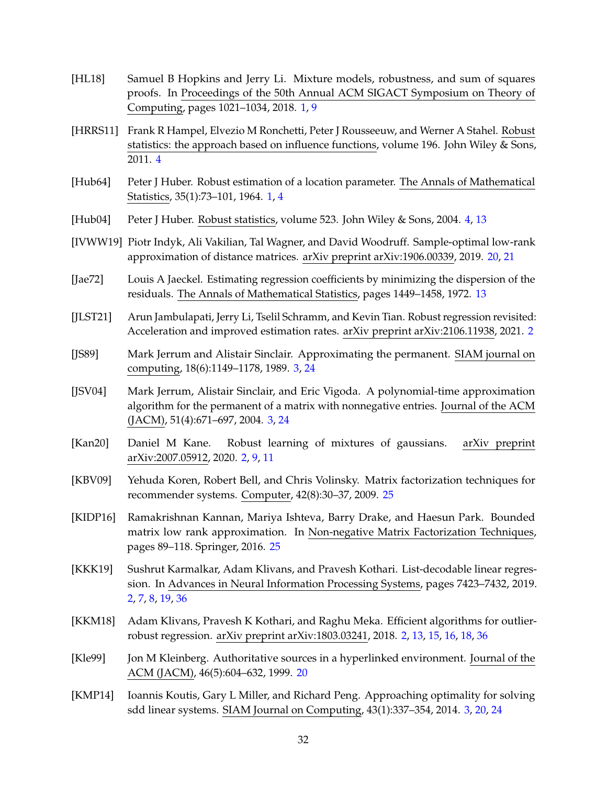- <span id="page-34-1"></span>[HL18] Samuel B Hopkins and Jerry Li. Mixture models, robustness, and sum of squares proofs. In Proceedings of the 50th Annual ACM SIGACT Symposium on Theory of Computing, pages 1021–1034, 2018. [1,](#page-0-0) [9](#page-11-2)
- <span id="page-34-10"></span>[HRRS11] Frank R Hampel, Elvezio M Ronchetti, Peter J Rousseeuw, and Werner A Stahel. Robust statistics: the approach based on influence functions, volume 196. John Wiley & Sons, 2011. [4](#page-6-2)
- <span id="page-34-0"></span>[Hub64] Peter J Huber. Robust estimation of a location parameter. The Annals of Mathematical Statistics, 35(1):73–101, 1964. [1,](#page-0-0) [4](#page-6-2)
- <span id="page-34-9"></span>[Hub04] Peter J Huber. Robust statistics, volume 523. John Wiley & Sons, 2004. [4,](#page-6-2) [13](#page-15-1)
- <span id="page-34-13"></span>[IVWW19] Piotr Indyk, Ali Vakilian, Tal Wagner, and David Woodruff. Sample-optimal low-rank approximation of distance matrices. arXiv preprint arXiv:1906.00339, 2019. [20,](#page-22-3) [21](#page-23-1)
- <span id="page-34-11"></span>[Jae72] Louis A Jaeckel. Estimating regression coefficients by minimizing the dispersion of the residuals. The Annals of Mathematical Statistics, pages 1449–1458, 1972. [13](#page-15-1)
- <span id="page-34-4"></span>[JLST21] Arun Jambulapati, Jerry Li, Tselil Schramm, and Kevin Tian. Robust regression revisited: Acceleration and improved estimation rates. arXiv preprint arXiv:2106.11938, 2021. [2](#page-1-0)
- <span id="page-34-7"></span>[JS89] Mark Jerrum and Alistair Sinclair. Approximating the permanent. SIAM journal on computing, 18(6):1149–1178, 1989. [3,](#page-2-0) [24](#page-26-0)
- <span id="page-34-8"></span>[JSV04] Mark Jerrum, Alistair Sinclair, and Eric Vigoda. A polynomial-time approximation algorithm for the permanent of a matrix with nonnegative entries. Journal of the ACM (JACM), 51(4):671–697, 2004. [3,](#page-2-0) [24](#page-26-0)
- <span id="page-34-2"></span>[Kan20] Daniel M Kane. Robust learning of mixtures of gaussians. arXiv preprint arXiv:2007.05912, 2020. [2,](#page-1-0) [9,](#page-11-2) [11](#page-13-1)
- <span id="page-34-14"></span>[KBV09] Yehuda Koren, Robert Bell, and Chris Volinsky. Matrix factorization techniques for recommender systems. Computer, 42(8):30–37, 2009. [25](#page-27-2)
- <span id="page-34-15"></span>[KIDP16] Ramakrishnan Kannan, Mariya Ishteva, Barry Drake, and Haesun Park. Bounded matrix low rank approximation. In Non-negative Matrix Factorization Techniques, pages 89–118. Springer, 2016. [25](#page-27-2)
- <span id="page-34-5"></span>[KKK19] Sushrut Karmalkar, Adam Klivans, and Pravesh Kothari. List-decodable linear regression. In Advances in Neural Information Processing Systems, pages 7423–7432, 2019. [2,](#page-1-0) [7,](#page-9-2) [8,](#page-10-1) [19,](#page-21-0) [36](#page-38-4)
- <span id="page-34-3"></span>[KKM18] Adam Klivans, Pravesh K Kothari, and Raghu Meka. Efficient algorithms for outlierrobust regression. arXiv preprint arXiv:1803.03241, 2018. [2,](#page-1-0) [13,](#page-15-1) [15,](#page-17-3) [16,](#page-18-2) [18,](#page-20-1) [36](#page-38-4)
- <span id="page-34-12"></span>[Kle99] Jon M Kleinberg. Authoritative sources in a hyperlinked environment. Journal of the ACM (JACM), 46(5):604–632, 1999. [20](#page-22-3)
- <span id="page-34-6"></span>[KMP14] Ioannis Koutis, Gary L Miller, and Richard Peng. Approaching optimality for solving sdd linear systems. SIAM Journal on Computing, 43(1):337–354, 2014. [3,](#page-2-0) [20,](#page-22-3) [24](#page-26-0)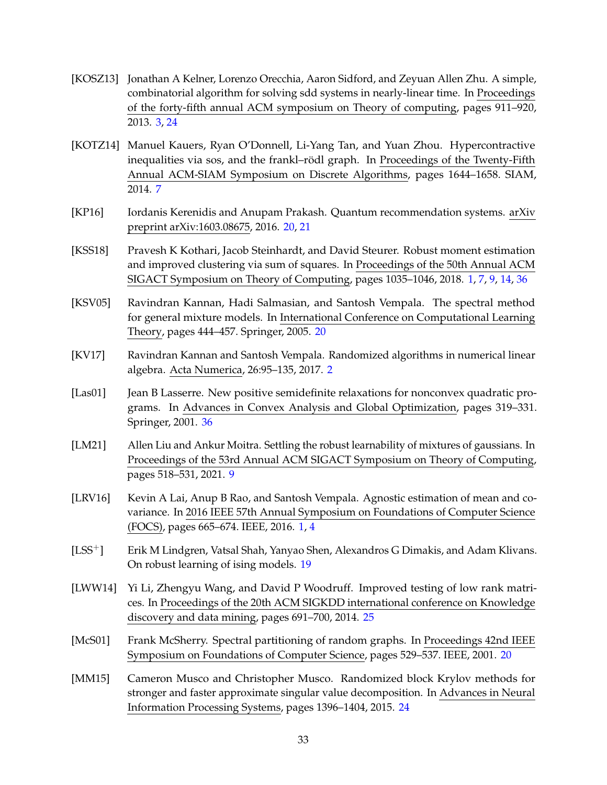- <span id="page-35-3"></span>[KOSZ13] Jonathan A Kelner, Lorenzo Orecchia, Aaron Sidford, and Zeyuan Allen Zhu. A simple, combinatorial algorithm for solving sdd systems in nearly-linear time. In Proceedings of the forty-fifth annual ACM symposium on Theory of computing, pages 911–920, 2013. [3,](#page-2-0) [24](#page-26-0)
- <span id="page-35-4"></span>[KOTZ14] Manuel Kauers, Ryan O'Donnell, Li-Yang Tan, and Yuan Zhou. Hypercontractive inequalities via sos, and the frankl–rödl graph. In Proceedings of the Twenty-Fifth Annual ACM-SIAM Symposium on Discrete Algorithms, pages 1644–1658. SIAM, 2014. [7](#page-9-2)
- <span id="page-35-9"></span>[KP16] Iordanis Kerenidis and Anupam Prakash. Quantum recommendation systems. arXiv preprint arXiv:1603.08675, 2016. [20,](#page-22-3) [21](#page-23-1)
- <span id="page-35-1"></span>[KSS18] Pravesh K Kothari, Jacob Steinhardt, and David Steurer. Robust moment estimation and improved clustering via sum of squares. In Proceedings of the 50th Annual ACM SIGACT Symposium on Theory of Computing, pages 1035–1046, 2018. [1,](#page-0-0) [7,](#page-9-2) [9,](#page-11-2) [14,](#page-16-1) [36](#page-38-4)
- <span id="page-35-8"></span>[KSV05] Ravindran Kannan, Hadi Salmasian, and Santosh Vempala. The spectral method for general mixture models. In International Conference on Computational Learning Theory, pages 444–457. Springer, 2005. [20](#page-22-3)
- <span id="page-35-2"></span>[KV17] Ravindran Kannan and Santosh Vempala. Randomized algorithms in numerical linear algebra. Acta Numerica, 26:95–135, 2017. [2](#page-1-0)
- <span id="page-35-12"></span>[Las01] Jean B Lasserre. New positive semidefinite relaxations for nonconvex quadratic programs. In Advances in Convex Analysis and Global Optimization, pages 319–331. Springer, 2001. [36](#page-38-4)
- <span id="page-35-5"></span>[LM21] Allen Liu and Ankur Moitra. Settling the robust learnability of mixtures of gaussians. In Proceedings of the 53rd Annual ACM SIGACT Symposium on Theory of Computing, pages 518–531, 2021. [9](#page-11-2)
- <span id="page-35-0"></span>[LRV16] Kevin A Lai, Anup B Rao, and Santosh Vempala. Agnostic estimation of mean and covariance. In 2016 IEEE 57th Annual Symposium on Foundations of Computer Science (FOCS), pages 665–674. IEEE, 2016. [1,](#page-0-0) [4](#page-6-2)
- <span id="page-35-6"></span>[LSS+] Erik M Lindgren, Vatsal Shah, Yanyao Shen, Alexandros G Dimakis, and Adam Klivans. On robust learning of ising models. [19](#page-21-0)
- <span id="page-35-11"></span>[LWW14] Yi Li, Zhengyu Wang, and David P Woodruff. Improved testing of low rank matrices. In Proceedings of the 20th ACM SIGKDD international conference on Knowledge discovery and data mining, pages 691–700, 2014. [25](#page-27-2)
- <span id="page-35-7"></span>[McS01] Frank McSherry. Spectral partitioning of random graphs. In Proceedings 42nd IEEE Symposium on Foundations of Computer Science, pages 529–537. IEEE, 2001. [20](#page-22-3)
- <span id="page-35-10"></span>[MM15] Cameron Musco and Christopher Musco. Randomized block Krylov methods for stronger and faster approximate singular value decomposition. In Advances in Neural Information Processing Systems, pages 1396–1404, 2015. [24](#page-26-0)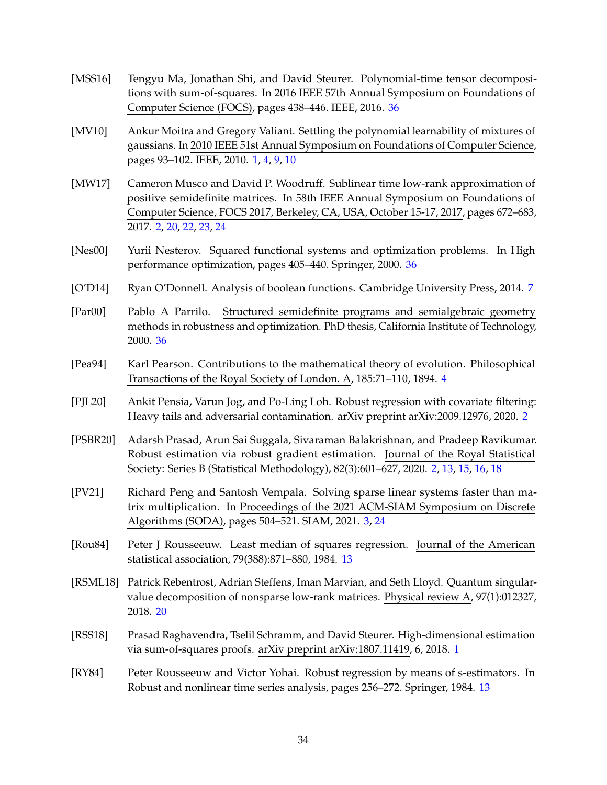- <span id="page-36-11"></span>[MSS16] Tengyu Ma, Jonathan Shi, and David Steurer. Polynomial-time tensor decompositions with sum-of-squares. In 2016 IEEE 57th Annual Symposium on Foundations of Computer Science (FOCS), pages 438–446. IEEE, 2016. [36](#page-38-4)
- <span id="page-36-0"></span>[MV10] Ankur Moitra and Gregory Valiant. Settling the polynomial learnability of mixtures of gaussians. In 2010 IEEE 51st Annual Symposium on Foundations of Computer Science, pages 93–102. IEEE, 2010. [1,](#page-0-0) [4,](#page-6-2) [9,](#page-11-2) [10](#page-12-1)
- <span id="page-36-4"></span>[MW17] Cameron Musco and David P. Woodruff. Sublinear time low-rank approximation of positive semidefinite matrices. In 58th IEEE Annual Symposium on Foundations of Computer Science, FOCS 2017, Berkeley, CA, USA, October 15-17, 2017, pages 672–683, 2017. [2,](#page-1-0) [20,](#page-22-3) [22,](#page-24-1) [23,](#page-25-2) [24](#page-26-0)
- <span id="page-36-13"></span>[Nes00] Yurii Nesterov. Squared functional systems and optimization problems. In High performance optimization, pages 405–440. Springer, 2000. [36](#page-38-4)
- <span id="page-36-7"></span>[O'D14] Ryan O'Donnell. Analysis of boolean functions. Cambridge University Press, 2014. [7](#page-9-2)
- <span id="page-36-12"></span>[Par00] Pablo A Parrilo. Structured semidefinite programs and semialgebraic geometry methods in robustness and optimization. PhD thesis, California Institute of Technology, 2000. [36](#page-38-4)
- <span id="page-36-6"></span>[Pea94] Karl Pearson. Contributions to the mathematical theory of evolution. Philosophical Transactions of the Royal Society of London. A, 185:71–110, 1894. [4](#page-6-2)
- <span id="page-36-3"></span>[PJL20] Ankit Pensia, Varun Jog, and Po-Ling Loh. Robust regression with covariate filtering: Heavy tails and adversarial contamination. arXiv preprint arXiv:2009.12976, 2020. [2](#page-1-0)
- <span id="page-36-2"></span>[PSBR20] Adarsh Prasad, Arun Sai Suggala, Sivaraman Balakrishnan, and Pradeep Ravikumar. Robust estimation via robust gradient estimation. Journal of the Royal Statistical Society: Series B (Statistical Methodology), 82(3):601–627, 2020. [2,](#page-1-0) [13,](#page-15-1) [15,](#page-17-3) [16,](#page-18-2) [18](#page-20-1)
- <span id="page-36-5"></span>[PV21] Richard Peng and Santosh Vempala. Solving sparse linear systems faster than matrix multiplication. In Proceedings of the 2021 ACM-SIAM Symposium on Discrete Algorithms (SODA), pages 504–521. SIAM, 2021. [3,](#page-2-0) [24](#page-26-0)
- <span id="page-36-8"></span>[Rou84] Peter J Rousseeuw. Least median of squares regression. Journal of the American statistical association, 79(388):871–880, 1984. [13](#page-15-1)
- <span id="page-36-10"></span>[RSML18] Patrick Rebentrost, Adrian Steffens, Iman Marvian, and Seth Lloyd. Quantum singularvalue decomposition of nonsparse low-rank matrices. Physical review A, 97(1):012327, 2018. [20](#page-22-3)
- <span id="page-36-1"></span>[RSS18] Prasad Raghavendra, Tselil Schramm, and David Steurer. High-dimensional estimation via sum-of-squares proofs. arXiv preprint arXiv:1807.11419, 6, 2018. [1](#page-0-0)
- <span id="page-36-9"></span>[RY84] Peter Rousseeuw and Victor Yohai. Robust regression by means of s-estimators. In Robust and nonlinear time series analysis, pages 256–272. Springer, 1984. [13](#page-15-1)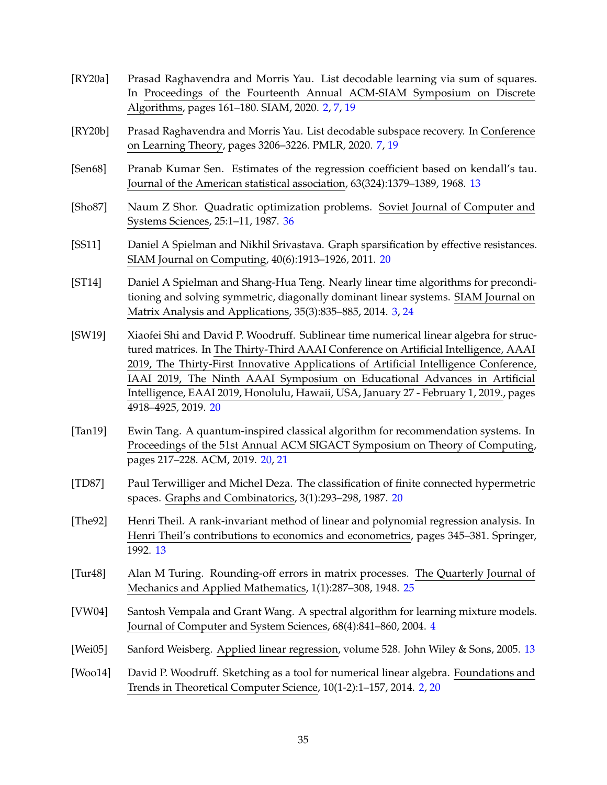- <span id="page-37-0"></span>[RY20a] Prasad Raghavendra and Morris Yau. List decodable learning via sum of squares. In Proceedings of the Fourteenth Annual ACM-SIAM Symposium on Discrete Algorithms, pages 161–180. SIAM, 2020. [2,](#page-1-0) [7,](#page-9-2) [19](#page-21-0)
- <span id="page-37-4"></span>[RY20b] Prasad Raghavendra and Morris Yau. List decodable subspace recovery. In Conference on Learning Theory, pages 3206–3226. PMLR, 2020. [7,](#page-9-2) [19](#page-21-0)
- <span id="page-37-7"></span>[Sen68] Pranab Kumar Sen. Estimates of the regression coefficient based on kendall's tau. Journal of the American statistical association, 63(324):1379–1389, 1968. [13](#page-15-1)
- <span id="page-37-13"></span>[Sho87] Naum Z Shor. Quadratic optimization problems. Soviet Journal of Computer and Systems Sciences, 25:1–11, 1987. [36](#page-38-4)
- <span id="page-37-11"></span>[SS11] Daniel A Spielman and Nikhil Srivastava. Graph sparsification by effective resistances. SIAM Journal on Computing, 40(6):1913–1926, 2011. [20](#page-22-3)
- <span id="page-37-2"></span>[ST14] Daniel A Spielman and Shang-Hua Teng. Nearly linear time algorithms for preconditioning and solving symmetric, diagonally dominant linear systems. SIAM Journal on Matrix Analysis and Applications, 35(3):835–885, 2014. [3,](#page-2-0) [24](#page-26-0)
- <span id="page-37-9"></span>[SW19] Xiaofei Shi and David P. Woodruff. Sublinear time numerical linear algebra for structured matrices. In The Thirty-Third AAAI Conference on Artificial Intelligence, AAAI 2019, The Thirty-First Innovative Applications of Artificial Intelligence Conference, IAAI 2019, The Ninth AAAI Symposium on Educational Advances in Artificial Intelligence, EAAI 2019, Honolulu, Hawaii, USA, January 27 - February 1, 2019., pages 4918–4925, 2019. [20](#page-22-3)
- <span id="page-37-8"></span>[Tan19] Ewin Tang. A quantum-inspired classical algorithm for recommendation systems. In Proceedings of the 51st Annual ACM SIGACT Symposium on Theory of Computing, pages 217–228. ACM, 2019. [20,](#page-22-3) [21](#page-23-1)
- <span id="page-37-10"></span>[TD87] Paul Terwilliger and Michel Deza. The classification of finite connected hypermetric spaces. Graphs and Combinatorics, 3(1):293–298, 1987. [20](#page-22-3)
- <span id="page-37-6"></span>[The92] Henri Theil. A rank-invariant method of linear and polynomial regression analysis. In Henri Theil's contributions to economics and econometrics, pages 345–381. Springer, 1992. [13](#page-15-1)
- <span id="page-37-12"></span>[Tur48] Alan M Turing. Rounding-off errors in matrix processes. The Quarterly Journal of Mechanics and Applied Mathematics, 1(1):287–308, 1948. [25](#page-27-2)
- <span id="page-37-3"></span>[VW04] Santosh Vempala and Grant Wang. A spectral algorithm for learning mixture models. Journal of Computer and System Sciences, 68(4):841–860, 2004. [4](#page-6-2)
- <span id="page-37-5"></span>[Wei05] Sanford Weisberg. Applied linear regression, volume 528. John Wiley & Sons, 2005. [13](#page-15-1)
- <span id="page-37-1"></span>[Woo14] David P. Woodruff. Sketching as a tool for numerical linear algebra. Foundations and Trends in Theoretical Computer Science, 10(1-2):1–157, 2014. [2,](#page-1-0) [20](#page-22-3)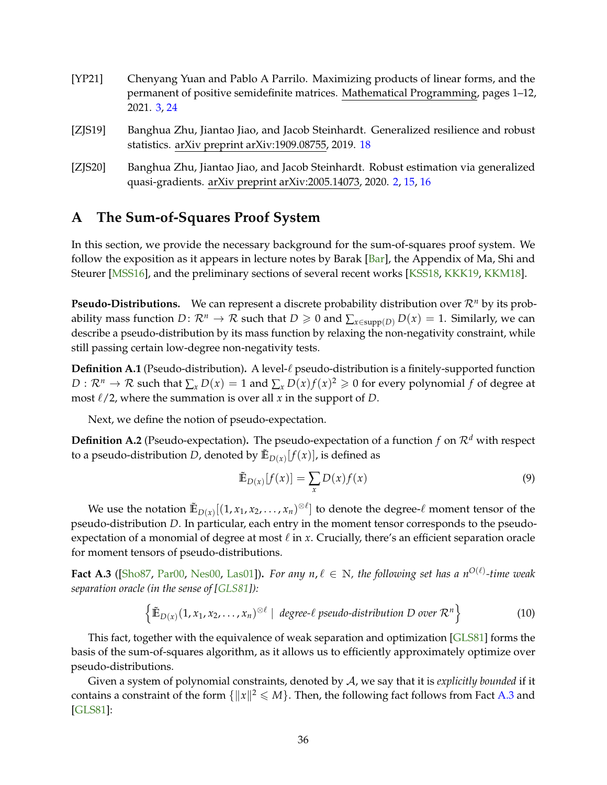- <span id="page-38-4"></span><span id="page-38-2"></span>[YP21] Chenyang Yuan and Pablo A Parrilo. Maximizing products of linear forms, and the permanent of positive semidefinite matrices. Mathematical Programming, pages 1–12, 2021. [3,](#page-2-0) [24](#page-26-0)
- <span id="page-38-3"></span>[ZJS19] Banghua Zhu, Jiantao Jiao, and Jacob Steinhardt. Generalized resilience and robust statistics. arXiv preprint arXiv:1909.08755, 2019. [18](#page-20-1)
- <span id="page-38-1"></span>[ZJS20] Banghua Zhu, Jiantao Jiao, and Jacob Steinhardt. Robust estimation via generalized quasi-gradients. arXiv preprint arXiv:2005.14073, 2020. [2,](#page-1-0) [15,](#page-17-3) [16](#page-18-2)

## <span id="page-38-0"></span>**A The Sum-of-Squares Proof System**

In this section, we provide the necessary background for the sum-of-squares proof system. We follow the exposition as it appears in lecture notes by Barak [\[Bar\]](#page-30-13), the Appendix of Ma, Shi and Steurer [\[MSS16\]](#page-36-11), and the preliminary sections of several recent works [\[KSS18,](#page-35-1) [KKK19,](#page-34-5) [KKM18\]](#page-34-3).

**Pseudo-Distributions.** We can represent a discrete probability distribution over  $\mathcal{R}^n$  by its probability mass function *D*:  $\mathcal{R}^n \to \mathcal{R}$  such that  $D \geq 0$  and  $\sum_{x \in \text{supp}(D)} D(x) = 1$ . Similarly, we can describe a pseudo-distribution by its mass function by relaxing the non-negativity constraint, while still passing certain low-degree non-negativity tests.

**Definition A.1** (Pseudo-distribution). A level- $\ell$  pseudo-distribution is a finitely-supported function  $D: \mathcal{R}^n \to \mathcal{R}$  such that  $\sum_x D(x) = 1$  and  $\sum_x D(x)f(x)^2 \geqslant 0$  for every polynomial  $f$  of degree at most  $\ell/2$ , where the summation is over all *x* in the support of *D*.

Next, we define the notion of pseudo-expectation.

**Definition A.2** (Pseudo-expectation). The pseudo-expectation of a function  $f$  on  $\mathcal{R}^d$  with respect to a pseudo-distribution  $D$ , denoted by  $\tilde{\mathbb{E}}_{D(x)}[f(x)]$ , is defined as

$$
\tilde{\mathbb{E}}_{D(x)}[f(x)] = \sum_{x} D(x)f(x)
$$
\n(9)

We use the notation  $\mathbb{E}_{D(x)}[(1, x_1, x_2, \ldots, x_n)^{\otimes \ell}]$  to denote the degree- $\ell$  moment tensor of the pseudo-distribution *D*. In particular, each entry in the moment tensor corresponds to the pseudoexpectation of a monomial of degree at most  $\ell$  in  $x$ . Crucially, there's an efficient separation oracle for moment tensors of pseudo-distributions.

<span id="page-38-5"></span>**Fact A.3** ([\[Sho87,](#page-37-13) [Par00,](#page-36-12) [Nes00,](#page-36-13) [Las01\]](#page-35-12)). For any  $n, \ell \in \mathbb{N}$ , the following set has a  $n^{O(\ell)}$ -time weak *separation oracle (in the sense of [\[GLS81\]](#page-33-12)):*

$$
\left\{ \mathbb{E}_{D(x)}(1, x_1, x_2, \dots, x_n)^{\otimes \ell} \mid \text{ degree-}\ell \text{ pseudo-distribution } D \text{ over } \mathcal{R}^n \right\}
$$
 (10)

This fact, together with the equivalence of weak separation and optimization [\[GLS81\]](#page-33-12) forms the basis of the sum-of-squares algorithm, as it allows us to efficiently approximately optimize over pseudo-distributions.

Given a system of polynomial constraints, denoted by A, we say that it is *explicitly bounded* if it contains a constraint of the form  $\{\|x\|^2 \leqslant M\}$ . Then, the following fact follows from Fact [A.3](#page-38-5) and [\[GLS81\]](#page-33-12):